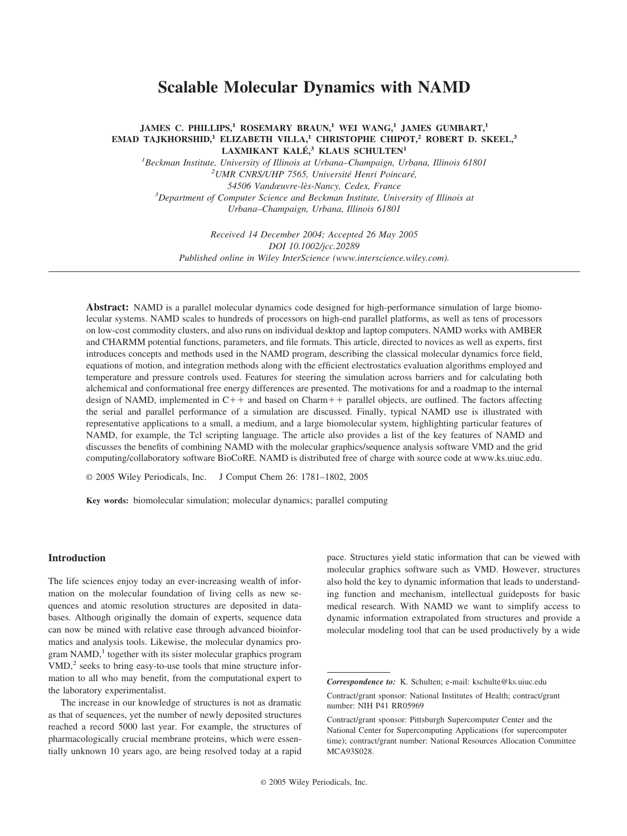# **Scalable Molecular Dynamics with NAMD**

# **JAMES C. PHILLIPS,1 ROSEMARY BRAUN,1 WEI WANG,1 JAMES GUMBART,1 EMAD TAJKHORSHID,1 ELIZABETH VILLA,1 CHRISTOPHE CHIPOT,2 ROBERT D. SKEEL,3**  $\text{LAXMIKANT KALÉ,}^3$  **KLAUS SCHULTEN<sup>1</sup>**

*1 Beckman Institute, University of Illinois at Urbana–Champaign, Urbana, Illinois 61801 <sup>2</sup> UMR CNRS/UHP 7565, Universite´ Henri Poincare´, 54506 Vandœuvre-le`s-Nancy, Cedex, France <sup>3</sup> Department of Computer Science and Beckman Institute, University of Illinois at Urbana–Champaign, Urbana, Illinois 61801*

*Received 14 December 2004; Accepted 26 May 2005 DOI 10.1002/jcc.20289 Published online in Wiley InterScience (www.interscience.wiley.com).*

**Abstract:** NAMD is a parallel molecular dynamics code designed for high-performance simulation of large biomolecular systems. NAMD scales to hundreds of processors on high-end parallel platforms, as well as tens of processors on low-cost commodity clusters, and also runs on individual desktop and laptop computers. NAMD works with AMBER and CHARMM potential functions, parameters, and file formats. This article, directed to novices as well as experts, first introduces concepts and methods used in the NAMD program, describing the classical molecular dynamics force field, equations of motion, and integration methods along with the efficient electrostatics evaluation algorithms employed and temperature and pressure controls used. Features for steering the simulation across barriers and for calculating both alchemical and conformational free energy differences are presented. The motivations for and a roadmap to the internal design of NAMD, implemented in  $C++$  and based on Charm + + parallel objects, are outlined. The factors affecting the serial and parallel performance of a simulation are discussed. Finally, typical NAMD use is illustrated with representative applications to a small, a medium, and a large biomolecular system, highlighting particular features of NAMD, for example, the Tcl scripting language. The article also provides a list of the key features of NAMD and discusses the benefits of combining NAMD with the molecular graphics/sequence analysis software VMD and the grid computing/collaboratory software BioCoRE. NAMD is distributed free of charge with source code at www.ks.uiuc.edu.

© 2005 Wiley Periodicals, Inc. J Comput Chem 26: 1781–1802, 2005

**Key words:** biomolecular simulation; molecular dynamics; parallel computing

# **Introduction**

The life sciences enjoy today an ever-increasing wealth of information on the molecular foundation of living cells as new sequences and atomic resolution structures are deposited in databases. Although originally the domain of experts, sequence data can now be mined with relative ease through advanced bioinformatics and analysis tools. Likewise, the molecular dynamics program  $NAMD$ ,<sup>1</sup> together with its sister molecular graphics program  $VMD<sub>1</sub><sup>2</sup>$  seeks to bring easy-to-use tools that mine structure information to all who may benefit, from the computational expert to the laboratory experimentalist.

The increase in our knowledge of structures is not as dramatic as that of sequences, yet the number of newly deposited structures reached a record 5000 last year. For example, the structures of pharmacologically crucial membrane proteins, which were essentially unknown 10 years ago, are being resolved today at a rapid pace. Structures yield static information that can be viewed with molecular graphics software such as VMD. However, structures also hold the key to dynamic information that leads to understanding function and mechanism, intellectual guideposts for basic medical research. With NAMD we want to simplify access to dynamic information extrapolated from structures and provide a molecular modeling tool that can be used productively by a wide

*Correspondence to:* K. Schulten; e-mail: kschulte@ks.uiuc.edu Contract/grant sponsor: National Institutes of Health; contract/grant number: NIH P41 RR05969

Contract/grant sponsor: Pittsburgh Supercomputer Center and the National Center for Supercomputing Applications (for supercomputer time); contract/grant number: National Resources Allocation Committee MCA93S028.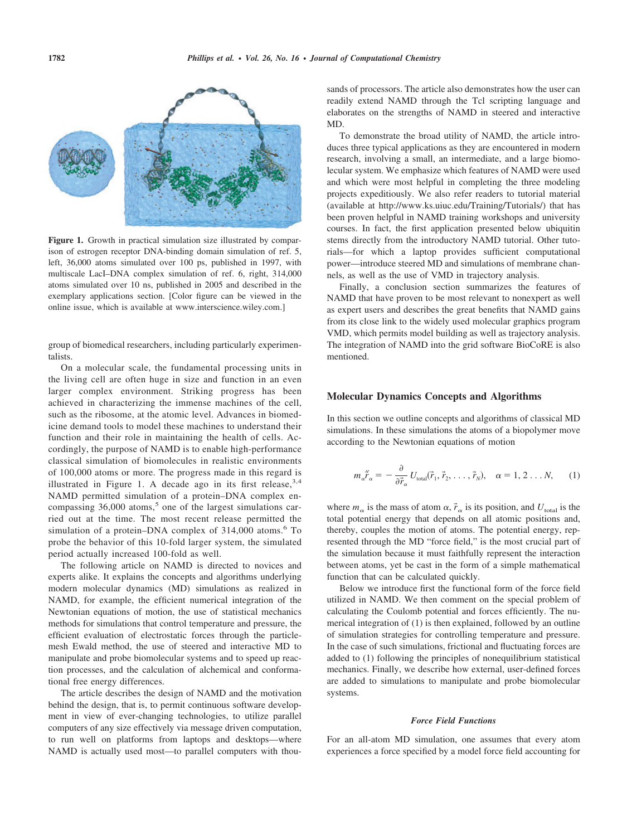

Figure 1. Growth in practical simulation size illustrated by comparison of estrogen receptor DNA-binding domain simulation of ref. 5, left, 36,000 atoms simulated over 100 ps, published in 1997, with multiscale LacI–DNA complex simulation of ref. 6, right, 314,000 atoms simulated over 10 ns, published in 2005 and described in the exemplary applications section. [Color figure can be viewed in the online issue, which is available at www.interscience.wiley.com.]

group of biomedical researchers, including particularly experimentalists.

On a molecular scale, the fundamental processing units in the living cell are often huge in size and function in an even larger complex environment. Striking progress has been achieved in characterizing the immense machines of the cell, such as the ribosome, at the atomic level. Advances in biomedicine demand tools to model these machines to understand their function and their role in maintaining the health of cells. Accordingly, the purpose of NAMD is to enable high-performance classical simulation of biomolecules in realistic environments of 100,000 atoms or more. The progress made in this regard is illustrated in Figure 1. A decade ago in its first release,  $3,4$ NAMD permitted simulation of a protein–DNA complex encompassing  $36,000$  atoms,<sup>5</sup> one of the largest simulations carried out at the time. The most recent release permitted the simulation of a protein–DNA complex of 314,000 atoms.<sup>6</sup> To probe the behavior of this 10-fold larger system, the simulated period actually increased 100-fold as well.

The following article on NAMD is directed to novices and experts alike. It explains the concepts and algorithms underlying modern molecular dynamics (MD) simulations as realized in NAMD, for example, the efficient numerical integration of the Newtonian equations of motion, the use of statistical mechanics methods for simulations that control temperature and pressure, the efficient evaluation of electrostatic forces through the particlemesh Ewald method, the use of steered and interactive MD to manipulate and probe biomolecular systems and to speed up reaction processes, and the calculation of alchemical and conformational free energy differences.

The article describes the design of NAMD and the motivation behind the design, that is, to permit continuous software development in view of ever-changing technologies, to utilize parallel computers of any size effectively via message driven computation, to run well on platforms from laptops and desktops—where NAMD is actually used most—to parallel computers with thousands of processors. The article also demonstrates how the user can readily extend NAMD through the Tcl scripting language and elaborates on the strengths of NAMD in steered and interactive MD.

To demonstrate the broad utility of NAMD, the article introduces three typical applications as they are encountered in modern research, involving a small, an intermediate, and a large biomolecular system. We emphasize which features of NAMD were used and which were most helpful in completing the three modeling projects expeditiously. We also refer readers to tutorial material (available at http://www.ks.uiuc.edu/Training/Tutorials/) that has been proven helpful in NAMD training workshops and university courses. In fact, the first application presented below ubiquitin stems directly from the introductory NAMD tutorial. Other tutorials—for which a laptop provides sufficient computational power—introduce steered MD and simulations of membrane channels, as well as the use of VMD in trajectory analysis.

Finally, a conclusion section summarizes the features of NAMD that have proven to be most relevant to nonexpert as well as expert users and describes the great benefits that NAMD gains from its close link to the widely used molecular graphics program VMD, which permits model building as well as trajectory analysis. The integration of NAMD into the grid software BioCoRE is also mentioned.

### **Molecular Dynamics Concepts and Algorithms**

In this section we outline concepts and algorithms of classical MD simulations. In these simulations the atoms of a biopolymer move according to the Newtonian equations of motion

$$
m_{\alpha}\ddot{\vec{r}}_{\alpha} = -\frac{\partial}{\partial \vec{r}_{\alpha}} U_{\text{total}}(\vec{r}_{1}, \vec{r}_{2}, \dots, \vec{r}_{N}), \quad \alpha = 1, 2 \dots N, \qquad (1)
$$

where  $m_{\alpha}$  is the mass of atom  $\alpha$ ,  $\vec{r}_{\alpha}$  is its position, and  $U_{\text{total}}$  is the total potential energy that depends on all atomic positions and, thereby, couples the motion of atoms. The potential energy, represented through the MD "force field," is the most crucial part of the simulation because it must faithfully represent the interaction between atoms, yet be cast in the form of a simple mathematical function that can be calculated quickly.

Below we introduce first the functional form of the force field utilized in NAMD. We then comment on the special problem of calculating the Coulomb potential and forces efficiently. The numerical integration of (1) is then explained, followed by an outline of simulation strategies for controlling temperature and pressure. In the case of such simulations, frictional and fluctuating forces are added to (1) following the principles of nonequilibrium statistical mechanics. Finally, we describe how external, user-defined forces are added to simulations to manipulate and probe biomolecular systems.

### *Force Field Functions*

For an all-atom MD simulation, one assumes that every atom experiences a force specified by a model force field accounting for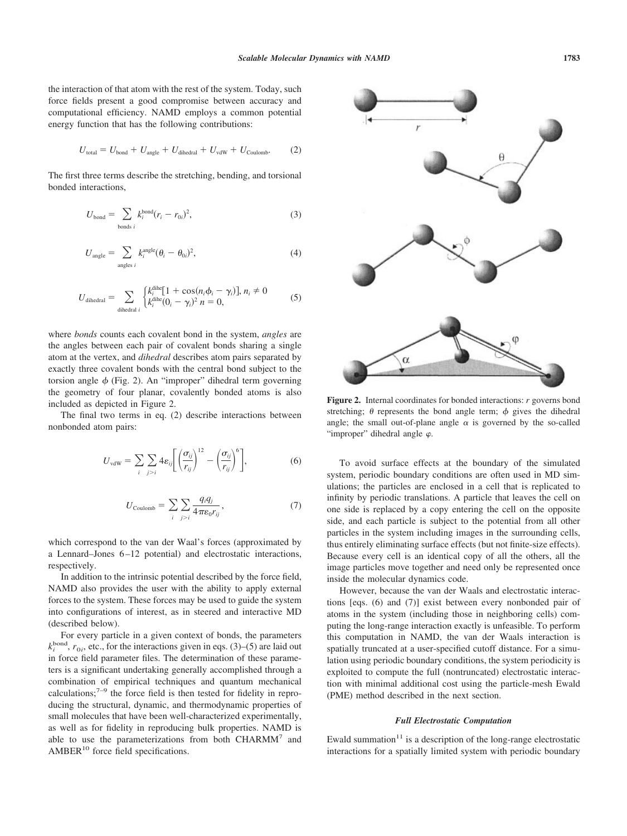the interaction of that atom with the rest of the system. Today, such force fields present a good compromise between accuracy and computational efficiency. NAMD employs a common potential energy function that has the following contributions:

$$
U_{\text{total}} = U_{\text{bond}} + U_{\text{angle}} + U_{\text{dihedral}} + U_{\text{vdW}} + U_{\text{Coulomb}}.
$$
 (2)

The first three terms describe the stretching, bending, and torsional bonded interactions,

$$
U_{\text{bond}} = \sum_{\text{bonds }i} k_i^{\text{bond}} (r_i - r_{0i})^2, \tag{3}
$$

$$
U_{\text{angle}} = \sum_{\text{angles } i} k_i^{\text{angle}} (\theta_i - \theta_{0i})^2, \tag{4}
$$

$$
U_{\text{dihedral}} = \sum_{\text{dihedral } i} \begin{cases} k_i^{\text{dihef}}[1 + \cos(n_i \phi_i - \gamma_i)], n_i \neq 0\\ k_i^{\text{dihef}}(0_i - \gamma_i)^2, n = 0, \end{cases}
$$
(5)

where *bonds* counts each covalent bond in the system, *angles* are the angles between each pair of covalent bonds sharing a single atom at the vertex, and *dihedral* describes atom pairs separated by exactly three covalent bonds with the central bond subject to the torsion angle  $\phi$  (Fig. 2). An "improper" dihedral term governing the geometry of four planar, covalently bonded atoms is also included as depicted in Figure 2.

The final two terms in eq. (2) describe interactions between nonbonded atom pairs:

$$
U_{\text{vdW}} = \sum_{i} \sum_{j>i} 4\varepsilon_{ij} \bigg[ \bigg(\frac{\sigma_{ij}}{r_{ij}}\bigg)^{12} - \bigg(\frac{\sigma_{ij}}{r_{ij}}\bigg)^{6} \bigg],\tag{6}
$$

$$
U_{\text{Coulomb}} = \sum_{i} \sum_{j>i} \frac{q_i q_j}{4 \pi \epsilon_0 r_{ij}}, \tag{7}
$$

which correspond to the van der Waal's forces (approximated by a Lennard–Jones 6 –12 potential) and electrostatic interactions, respectively.

In addition to the intrinsic potential described by the force field, NAMD also provides the user with the ability to apply external forces to the system. These forces may be used to guide the system into configurations of interest, as in steered and interactive MD (described below).

For every particle in a given context of bonds, the parameters  $k_i^{\text{bond}}$ ,  $r_{0i}$ , etc., for the interactions given in eqs. (3)–(5) are laid out in force field parameter files. The determination of these parameters is a significant undertaking generally accomplished through a combination of empirical techniques and quantum mechanical calculations; $7-9$  the force field is then tested for fidelity in reproducing the structural, dynamic, and thermodynamic properties of small molecules that have been well-characterized experimentally, as well as for fidelity in reproducing bulk properties. NAMD is able to use the parameterizations from both CHARMM<sup>7</sup> and  $AMBER<sup>10</sup>$  force field specifications.



**Figure 2.** Internal coordinates for bonded interactions: *r* governs bond stretching;  $\theta$  represents the bond angle term;  $\phi$  gives the dihedral angle; the small out-of-plane angle  $\alpha$  is governed by the so-called "improper" dihedral angle  $\varphi$ .

To avoid surface effects at the boundary of the simulated system, periodic boundary conditions are often used in MD simulations; the particles are enclosed in a cell that is replicated to infinity by periodic translations. A particle that leaves the cell on one side is replaced by a copy entering the cell on the opposite side, and each particle is subject to the potential from all other particles in the system including images in the surrounding cells, thus entirely eliminating surface effects (but not finite-size effects). Because every cell is an identical copy of all the others, all the image particles move together and need only be represented once inside the molecular dynamics code.

However, because the van der Waals and electrostatic interactions [eqs. (6) and (7)] exist between every nonbonded pair of atoms in the system (including those in neighboring cells) computing the long-range interaction exactly is unfeasible. To perform this computation in NAMD, the van der Waals interaction is spatially truncated at a user-specified cutoff distance. For a simulation using periodic boundary conditions, the system periodicity is exploited to compute the full (nontruncated) electrostatic interaction with minimal additional cost using the particle-mesh Ewald (PME) method described in the next section.

#### *Full Electrostatic Computation*

Ewald summation $11$  is a description of the long-range electrostatic interactions for a spatially limited system with periodic boundary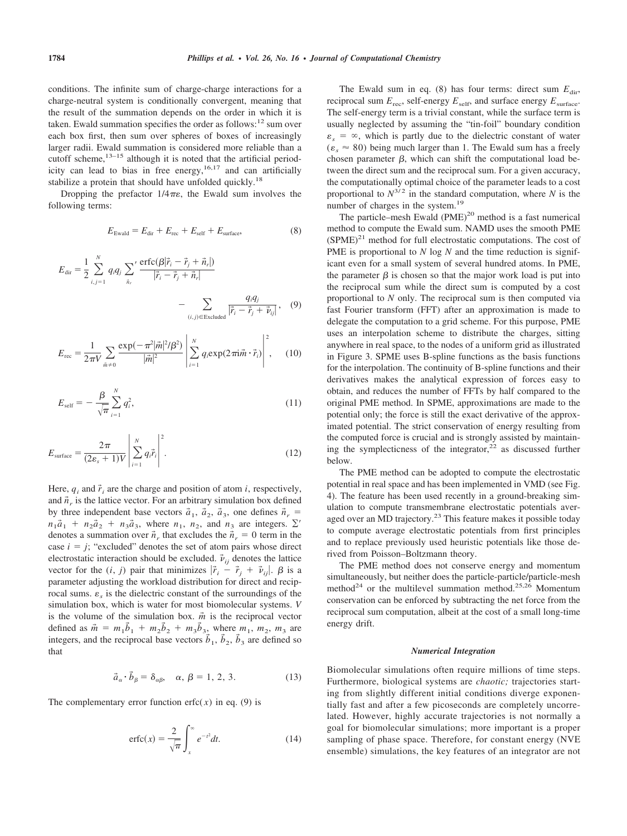conditions. The infinite sum of charge-charge interactions for a charge-neutral system is conditionally convergent, meaning that the result of the summation depends on the order in which it is taken. Ewald summation specifies the order as follows: $12 \text{ sum over}$ each box first, then sum over spheres of boxes of increasingly larger radii. Ewald summation is considered more reliable than a cutoff scheme, $13-15$  although it is noted that the artificial periodicity can lead to bias in free energy,  $16,17$  and can artificially stabilize a protein that should have unfolded quickly.<sup>18</sup>

Dropping the prefactor  $1/4\pi\varepsilon$ , the Ewald sum involves the following terms:

$$
E_{\text{Ewald}} = E_{\text{dir}} + E_{\text{rec}} + E_{\text{self}} + E_{\text{surface}},
$$
\n(8)

$$
E_{\text{dir}} = \frac{1}{2} \sum_{i,j=1}^{N} q_i q_j \sum_{\vec{n}_r} \frac{\text{erfc}(\beta | \vec{r}_i - \vec{r}_j + \vec{n}_r |)}{|\vec{r}_i - \vec{r}_j + \vec{n}_r|} - \sum_{(i,j) \in \text{Excluded}} \frac{q_i q_j}{|\vec{r}_i - \vec{r}_j + \vec{v}_{ij}|}, \quad (9)
$$

$$
E_{\rm rec} = \frac{1}{2\pi V} \sum_{\vec{m}\neq 0} \frac{\exp(-\pi^2 |\vec{m}|^2/\beta^2)}{|\vec{m}|^2} \left| \sum_{i=1}^N q_i \exp(2\pi i \vec{m} \cdot \vec{r}_i) \right|^2, \quad (10)
$$

$$
E_{\text{self}} = -\frac{\beta}{\sqrt{\pi}} \sum_{i=1}^{N} q_i^2, \qquad (11)
$$

$$
E_{\text{surface}} = \frac{2\pi}{(2\varepsilon_s + 1)V} \left| \sum_{i=1}^{N} q_i \vec{r}_i \right|^2.
$$
 (12)

Here,  $q_i$  and  $\vec{r}_i$  are the charge and position of atom *i*, respectively, and  $\vec{n}_r$  is the lattice vector. For an arbitrary simulation box defined by three independent base vectors  $\vec{a}_1$ ,  $\vec{a}_2$ ,  $\vec{a}_3$ , one defines  $\vec{n}_r$  =  $n_1 \vec{a}_1 + n_2 \vec{a}_2 + n_3 \vec{a}_3$ , where  $n_1$ ,  $n_2$ , and  $n_3$  are integers.  $\Sigma'$ denotes a summation over  $\vec{n}_r$ , that excludes the  $\vec{n}_r = 0$  term in the case  $i = j$ ; "excluded" denotes the set of atom pairs whose direct electrostatic interaction should be excluded.  $\vec{v}_{ij}$  denotes the lattice vector for the  $(i, j)$  pair that minimizes  $|\vec{r}_i - \vec{r}_j + \vec{v}_{ij}|$ .  $\beta$  is a parameter adjusting the workload distribution for direct and reciprocal sums.  $\varepsilon_s$  is the dielectric constant of the surroundings of the simulation box, which is water for most biomolecular systems. *V* is the volume of the simulation box.  $\vec{m}$  is the reciprocal vector defined as  $\vec{m} = m_1 \vec{b}_1 + m_2 \vec{b}_2 + m_3 \vec{b}_3$ , where  $m_1, m_2, m_3$  are integers, and the reciprocal base vectors  $\vec{b}_1$ ,  $\vec{b}_2$ ,  $\vec{b}_3$  are defined so that

$$
\vec{a}_{\alpha} \cdot \vec{b}_{\beta} = \delta_{\alpha\beta}, \quad \alpha, \beta = 1, 2, 3. \tag{13}
$$

The complementary error function erfc $(x)$  in eq.  $(9)$  is

$$
\operatorname{erfc}(x) = \frac{2}{\sqrt{\pi}} \int_{x}^{\infty} e^{-t^2} dt. \tag{14}
$$

The Ewald sum in eq.  $(8)$  has four terms: direct sum  $E_{\text{dir}}$ , reciprocal sum  $E_{\text{rec}}$ , self-energy  $E_{\text{self}}$ , and surface energy  $E_{\text{surface}}$ . The self-energy term is a trivial constant, while the surface term is usually neglected by assuming the "tin-foil" boundary condition  $\varepsilon_s = \infty$ , which is partly due to the dielectric constant of water  $(\varepsilon_s \approx 80)$  being much larger than 1. The Ewald sum has a freely chosen parameter  $\beta$ , which can shift the computational load between the direct sum and the reciprocal sum. For a given accuracy, the computationally optimal choice of the parameter leads to a cost proportional to  $N^{3/2}$  in the standard computation, where *N* is the number of charges in the system.19

The particle–mesh Ewald  $(PME)^{20}$  method is a fast numerical method to compute the Ewald sum. NAMD uses the smooth PME  $(SPME)^{21}$  method for full electrostatic computations. The cost of PME is proportional to *N* log *N* and the time reduction is significant even for a small system of several hundred atoms. In PME, the parameter  $\beta$  is chosen so that the major work load is put into the reciprocal sum while the direct sum is computed by a cost proportional to *N* only. The reciprocal sum is then computed via fast Fourier transform (FFT) after an approximation is made to delegate the computation to a grid scheme. For this purpose, PME uses an interpolation scheme to distribute the charges, sitting anywhere in real space, to the nodes of a uniform grid as illustrated in Figure 3. SPME uses B-spline functions as the basis functions for the interpolation. The continuity of B-spline functions and their derivatives makes the analytical expression of forces easy to obtain, and reduces the number of FFTs by half compared to the original PME method. In SPME, approximations are made to the potential only; the force is still the exact derivative of the approximated potential. The strict conservation of energy resulting from the computed force is crucial and is strongly assisted by maintaining the symplecticness of the integrator, $22$  as discussed further below.

The PME method can be adopted to compute the electrostatic potential in real space and has been implemented in VMD (see Fig. 4). The feature has been used recently in a ground-breaking simulation to compute transmembrane electrostatic potentials averaged over an MD trajectory.23 This feature makes it possible today to compute average electrostatic potentials from first principles and to replace previously used heuristic potentials like those derived from Poisson–Boltzmann theory.

The PME method does not conserve energy and momentum simultaneously, but neither does the particle-particle/particle-mesh method<sup>24</sup> or the multilevel summation method.<sup>25,26</sup> Momentum conservation can be enforced by subtracting the net force from the reciprocal sum computation, albeit at the cost of a small long-time energy drift.

#### *Numerical Integration*

Biomolecular simulations often require millions of time steps. Furthermore, biological systems are *chaotic;* trajectories starting from slightly different initial conditions diverge exponentially fast and after a few picoseconds are completely uncorrelated. However, highly accurate trajectories is not normally a goal for biomolecular simulations; more important is a proper sampling of phase space. Therefore, for constant energy (NVE ensemble) simulations, the key features of an integrator are not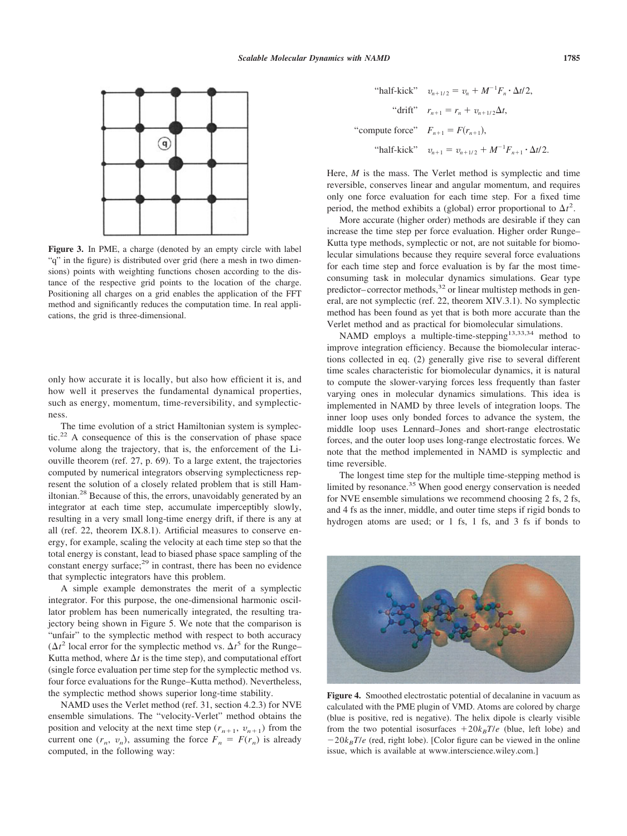

**Figure 3.** In PME, a charge (denoted by an empty circle with label "q" in the figure) is distributed over grid (here a mesh in two dimensions) points with weighting functions chosen according to the distance of the respective grid points to the location of the charge. Positioning all charges on a grid enables the application of the FFT method and significantly reduces the computation time. In real applications, the grid is three-dimensional.

only how accurate it is locally, but also how efficient it is, and how well it preserves the fundamental dynamical properties, such as energy, momentum, time-reversibility, and symplecticness.

The time evolution of a strict Hamiltonian system is symplectic.<sup>22</sup> A consequence of this is the conservation of phase space volume along the trajectory, that is, the enforcement of the Liouville theorem (ref. 27, p. 69). To a large extent, the trajectories computed by numerical integrators observing symplecticness represent the solution of a closely related problem that is still Hamiltonian.<sup>28</sup> Because of this, the errors, unavoidably generated by an integrator at each time step, accumulate imperceptibly slowly, resulting in a very small long-time energy drift, if there is any at all (ref. 22, theorem IX.8.1). Artificial measures to conserve energy, for example, scaling the velocity at each time step so that the total energy is constant, lead to biased phase space sampling of the constant energy surface; $29$  in contrast, there has been no evidence that symplectic integrators have this problem.

A simple example demonstrates the merit of a symplectic integrator. For this purpose, the one-dimensional harmonic oscillator problem has been numerically integrated, the resulting trajectory being shown in Figure 5. We note that the comparison is "unfair" to the symplectic method with respect to both accuracy  $(\Delta t^2)$  local error for the symplectic method vs.  $\Delta t^5$  for the Runge– Kutta method, where  $\Delta t$  is the time step), and computational effort (single force evaluation per time step for the symplectic method vs. four force evaluations for the Runge–Kutta method). Nevertheless, the symplectic method shows superior long-time stability.

NAMD uses the Verlet method (ref. 31, section 4.2.3) for NVE ensemble simulations. The "velocity-Verlet" method obtains the position and velocity at the next time step  $(r_{n+1}, v_{n+1})$  from the current one  $(r_n, v_n)$ , assuming the force  $F_n = F(r_n)$  is already computed, in the following way:

"half-kick" 
$$
v_{n+1/2} = v_n + M^{-1}F_n \cdot \Delta t/2,
$$
  
\n"drift"  $r_{n+1} = r_n + v_{n+1/2}\Delta t,$   
\n"compute force"  $F_{n+1} = F(r_{n+1}),$   
\n"half-kick"  $v_{n+1} = v_{n+1/2} + M^{-1}F_{n+1} \cdot \Delta t/2.$ 

Here, *M* is the mass. The Verlet method is symplectic and time reversible, conserves linear and angular momentum, and requires only one force evaluation for each time step. For a fixed time period, the method exhibits a (global) error proportional to  $\Delta t^2$ .

More accurate (higher order) methods are desirable if they can increase the time step per force evaluation. Higher order Runge– Kutta type methods, symplectic or not, are not suitable for biomolecular simulations because they require several force evaluations for each time step and force evaluation is by far the most timeconsuming task in molecular dynamics simulations. Gear type predictor–corrector methods,<sup>32</sup> or linear multistep methods in general, are not symplectic (ref. 22, theorem XIV.3.1). No symplectic method has been found as yet that is both more accurate than the Verlet method and as practical for biomolecular simulations.

NAMD employs a multiple-time-stepping<sup>13,33,34</sup> method to improve integration efficiency. Because the biomolecular interactions collected in eq. (2) generally give rise to several different time scales characteristic for biomolecular dynamics, it is natural to compute the slower-varying forces less frequently than faster varying ones in molecular dynamics simulations. This idea is implemented in NAMD by three levels of integration loops. The inner loop uses only bonded forces to advance the system, the middle loop uses Lennard–Jones and short-range electrostatic forces, and the outer loop uses long-range electrostatic forces. We note that the method implemented in NAMD is symplectic and time reversible.

The longest time step for the multiple time-stepping method is limited by resonance.<sup>35</sup> When good energy conservation is needed for NVE ensemble simulations we recommend choosing 2 fs, 2 fs, and 4 fs as the inner, middle, and outer time steps if rigid bonds to hydrogen atoms are used; or 1 fs, 1 fs, and 3 fs if bonds to



**Figure 4.** Smoothed electrostatic potential of decalanine in vacuum as calculated with the PME plugin of VMD. Atoms are colored by charge (blue is positive, red is negative). The helix dipole is clearly visible from the two potential isosurfaces  $+20k_BT/e$  (blue, left lobe) and  $-20k_BT/e$  (red, right lobe). [Color figure can be viewed in the online issue, which is available at www.interscience.wiley.com.]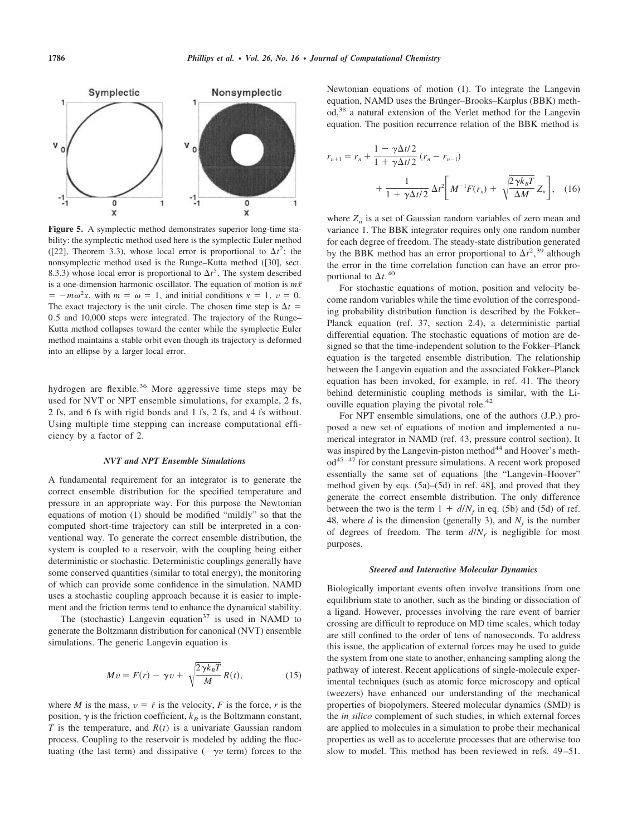

**Figure 5.** A symplectic method demonstrates superior long-time stability: the symplectic method used here is the symplectic Euler method ([22], Theorem 3.3), whose local error is proportional to  $\Delta t^2$ ; the nonsymplectic method used is the Runge–Kutta method ([30], sect. 8.3.3) whose local error is proportional to  $\Delta t^5$ . The system described is a one-dimension harmonic oscillator. The equation of motion is *mx¨*  $= -m\omega^2 x$ , with  $m = \omega = 1$ , and initial conditions  $x = 1$ ,  $v = 0$ . The exact trajectory is the unit circle. The chosen time step is  $\Delta t =$ 0.5 and 10,000 steps were integrated. The trajectory of the Runge– Kutta method collapses toward the center while the symplectic Euler method maintains a stable orbit even though its trajectory is deformed into an ellipse by a larger local error.

hydrogen are flexible.<sup>36</sup> More aggressive time steps may be used for NVT or NPT ensemble simulations, for example, 2 fs, 2 fs, and 6 fs with rigid bonds and 1 fs, 2 fs, and 4 fs without. Using multiple time stepping can increase computational efficiency by a factor of 2.

### *NVT and NPT Ensemble Simulations*

A fundamental requirement for an integrator is to generate the correct ensemble distribution for the specified temperature and pressure in an appropriate way. For this purpose the Newtonian equations of motion (1) should be modified "mildly" so that the computed short-time trajectory can still be interpreted in a conventional way. To generate the correct ensemble distribution, the system is coupled to a reservoir, with the coupling being either deterministic or stochastic. Deterministic couplings generally have some conserved quantities (similar to total energy), the monitoring of which can provide some confidence in the simulation. NAMD uses a stochastic coupling approach because it is easier to implement and the friction terms tend to enhance the dynamical stability.

The (stochastic) Langevin equation<sup>37</sup> is used in NAMD to generate the Boltzmann distribution for canonical (NVT) ensemble simulations. The generic Langevin equation is

$$
M\dot{v} = F(r) - \gamma v + \sqrt{\frac{2\gamma k_B T}{M}} R(t), \qquad (15)
$$

where *M* is the mass,  $v = \dot{r}$  is the velocity, *F* is the force, *r* is the position,  $\gamma$  is the friction coefficient,  $k_B$  is the Boltzmann constant, *T* is the temperature, and  $R(t)$  is a univariate Gaussian random process. Coupling to the reservoir is modeled by adding the fluctuating (the last term) and dissipative  $(-\gamma v \text{ term})$  forces to the

Newtonian equations of motion (1). To integrate the Langevin equation, NAMD uses the Brünger-Brooks-Karplus (BBK) method,38 a natural extension of the Verlet method for the Langevin equation. The position recurrence relation of the BBK method is

$$
r_{n+1} = r_n + \frac{1 - \gamma \Delta t/2}{1 + \gamma \Delta t/2} (r_n - r_{n-1})
$$
  
+ 
$$
\frac{1}{1 + \gamma \Delta t/2} \Delta t^2 \left[ M^{-1} F(r_n) + \sqrt{\frac{2 \gamma k_B T}{\Delta M}} Z_n \right], \quad (16)
$$

where  $Z_n$  is a set of Gaussian random variables of zero mean and variance 1. The BBK integrator requires only one random number for each degree of freedom. The steady-state distribution generated by the BBK method has an error proportional to  $\Delta t^2$ ,<sup>39</sup> although the error in the time correlation function can have an error proportional to  $\Delta t$ .<sup>40</sup>

For stochastic equations of motion, position and velocity become random variables while the time evolution of the corresponding probability distribution function is described by the Fokker– Planck equation (ref. 37, section 2.4), a deterministic partial differential equation. The stochastic equations of motion are designed so that the time-independent solution to the Fokker–Planck equation is the targeted ensemble distribution. The relationship between the Langevin equation and the associated Fokker–Planck equation has been invoked, for example, in ref. 41. The theory behind deterministic coupling methods is similar, with the Liouville equation playing the pivotal role.<sup>42</sup>

For NPT ensemble simulations, one of the authors (J.P.) proposed a new set of equations of motion and implemented a numerical integrator in NAMD (ref. 43, pressure control section). It was inspired by the Langevin-piston method<sup>44</sup> and Hoover's meth $od<sup>45-47</sup>$  for constant pressure simulations. A recent work proposed essentially the same set of equations [the "Langevin–Hoover" method given by eqs. (5a)–(5d) in ref. 48], and proved that they generate the correct ensemble distribution. The only difference between the two is the term  $1 + d/N_f$  in eq. (5b) and (5d) of ref. 48, where *d* is the dimension (generally 3), and  $N_f$  is the number of degrees of freedom. The term  $d/N_f$  is negligible for most purposes.

#### *Steered and Interactive Molecular Dynamics*

Biologically important events often involve transitions from one equilibrium state to another, such as the binding or dissociation of a ligand. However, processes involving the rare event of barrier crossing are difficult to reproduce on MD time scales, which today are still confined to the order of tens of nanoseconds. To address this issue, the application of external forces may be used to guide the system from one state to another, enhancing sampling along the pathway of interest. Recent applications of single-molecule experimental techniques (such as atomic force microscopy and optical tweezers) have enhanced our understanding of the mechanical properties of biopolymers. Steered molecular dynamics (SMD) is the *in silico* complement of such studies, in which external forces are applied to molecules in a simulation to probe their mechanical properties as well as to accelerate processes that are otherwise too slow to model. This method has been reviewed in refs. 49 –51.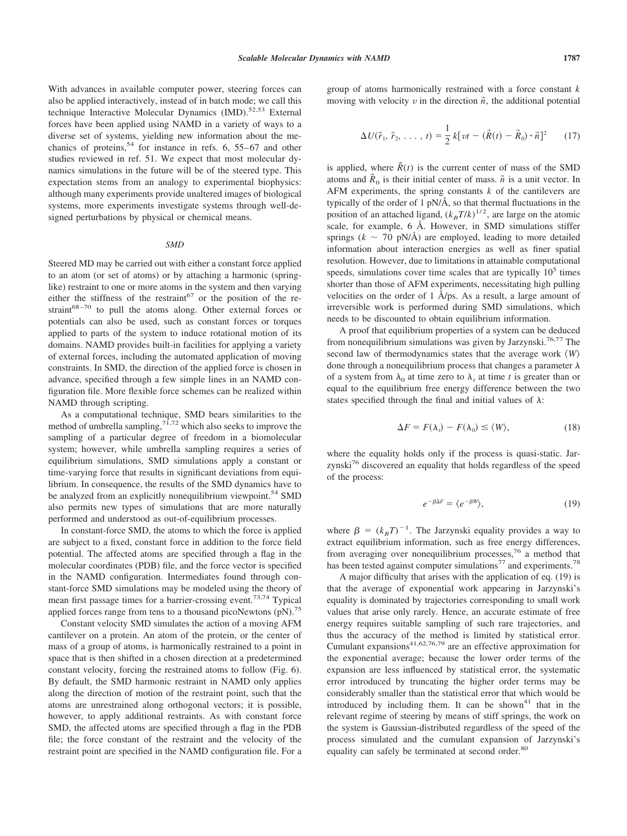With advances in available computer power, steering forces can also be applied interactively, instead of in batch mode; we call this technique Interactive Molecular Dynamics (IMD).<sup>52,53</sup> External forces have been applied using NAMD in a variety of ways to a diverse set of systems, yielding new information about the mechanics of proteins,<sup>54</sup> for instance in refs. 6, 55–67 and other studies reviewed in ref. 51. We expect that most molecular dynamics simulations in the future will be of the steered type. This expectation stems from an analogy to experimental biophysics: although many experiments provide unaltered images of biological systems, more experiments investigate systems through well-designed perturbations by physical or chemical means.

#### *SMD*

Steered MD may be carried out with either a constant force applied to an atom (or set of atoms) or by attaching a harmonic (springlike) restraint to one or more atoms in the system and then varying either the stiffness of the restraint<sup>67</sup> or the position of the restraint $68-70$  to pull the atoms along. Other external forces or potentials can also be used, such as constant forces or torques applied to parts of the system to induce rotational motion of its domains. NAMD provides built-in facilities for applying a variety of external forces, including the automated application of moving constraints. In SMD, the direction of the applied force is chosen in advance, specified through a few simple lines in an NAMD configuration file. More flexible force schemes can be realized within NAMD through scripting.

As a computational technique, SMD bears similarities to the method of umbrella sampling,  $7^{1,72}$  which also seeks to improve the sampling of a particular degree of freedom in a biomolecular system; however, while umbrella sampling requires a series of equilibrium simulations, SMD simulations apply a constant or time-varying force that results in significant deviations from equilibrium. In consequence, the results of the SMD dynamics have to be analyzed from an explicitly nonequilibrium viewpoint.<sup>54</sup> SMD also permits new types of simulations that are more naturally performed and understood as out-of-equilibrium processes.

In constant-force SMD, the atoms to which the force is applied are subject to a fixed, constant force in addition to the force field potential. The affected atoms are specified through a flag in the molecular coordinates (PDB) file, and the force vector is specified in the NAMD configuration. Intermediates found through constant-force SMD simulations may be modeled using the theory of mean first passage times for a barrier-crossing event.73,74 Typical applied forces range from tens to a thousand picoNewtons  $(pN)$ .<sup>75</sup>

Constant velocity SMD simulates the action of a moving AFM cantilever on a protein. An atom of the protein, or the center of mass of a group of atoms, is harmonically restrained to a point in space that is then shifted in a chosen direction at a predetermined constant velocity, forcing the restrained atoms to follow (Fig. 6). By default, the SMD harmonic restraint in NAMD only applies along the direction of motion of the restraint point, such that the atoms are unrestrained along orthogonal vectors; it is possible, however, to apply additional restraints. As with constant force SMD, the affected atoms are specified through a flag in the PDB file; the force constant of the restraint and the velocity of the restraint point are specified in the NAMD configuration file. For a group of atoms harmonically restrained with a force constant *k* moving with velocity  $v$  in the direction  $\vec{n}$ , the additional potential

$$
\Delta U(\vec{r}_1, \vec{r}_2, \dots, t) = \frac{1}{2} k [vt - (\vec{R}(t) - \vec{R}_0) \cdot \vec{n}]^2 \qquad (17)
$$

is applied, where  $\vec{R}(t)$  is the current center of mass of the SMD atoms and  $\vec{R}_0$  is their initial center of mass.  $\vec{n}$  is a unit vector. In AFM experiments, the spring constants *k* of the cantilevers are typically of the order of 1 pN/ $\AA$ , so that thermal fluctuations in the position of an attached ligand,  $(k_B T/k)^{1/2}$ , are large on the atomic scale, for example, 6 Å. However, in SMD simulations stiffer springs ( $k \sim 70$  pN/Å) are employed, leading to more detailed information about interaction energies as well as finer spatial resolution. However, due to limitations in attainable computational speeds, simulations cover time scales that are typically  $10<sup>5</sup>$  times shorter than those of AFM experiments, necessitating high pulling velocities on the order of 1 Å/ps. As a result, a large amount of irreversible work is performed during SMD simulations, which needs to be discounted to obtain equilibrium information.

A proof that equilibrium properties of a system can be deduced from nonequilibrium simulations was given by Jarzynski.<sup>76,77</sup> The second law of thermodynamics states that the average work *W* done through a nonequilibrium process that changes a parameter  $\lambda$ of a system from  $\lambda_0$  at time zero to  $\lambda_t$  at time *t* is greater than or equal to the equilibrium free energy difference between the two states specified through the final and initial values of  $\lambda$ :

$$
\Delta F = F(\lambda_i) - F(\lambda_0) \le \langle W \rangle, \tag{18}
$$

where the equality holds only if the process is quasi-static. Jarzynski<sup>76</sup> discovered an equality that holds regardless of the speed of the process:

$$
e^{-\beta \Delta F} = \langle e^{-\beta W} \rangle, \tag{19}
$$

where  $\beta = (k_B T)^{-1}$ . The Jarzynski equality provides a way to extract equilibrium information, such as free energy differences, from averaging over nonequilibrium processes,  $\frac{76}{9}$  a method that has been tested against computer simulations<sup>77</sup> and experiments.<sup>78</sup>

A major difficulty that arises with the application of eq. (19) is that the average of exponential work appearing in Jarzynski's equality is dominated by trajectories corresponding to small work values that arise only rarely. Hence, an accurate estimate of free energy requires suitable sampling of such rare trajectories, and thus the accuracy of the method is limited by statistical error. Cumulant expansions $41,62,76,79$  are an effective approximation for the exponential average; because the lower order terms of the expansion are less influenced by statistical error, the systematic error introduced by truncating the higher order terms may be considerably smaller than the statistical error that which would be introduced by including them. It can be shown<sup>41</sup> that in the relevant regime of steering by means of stiff springs, the work on the system is Gaussian-distributed regardless of the speed of the process simulated and the cumulant expansion of Jarzynski's equality can safely be terminated at second order.<sup>80</sup>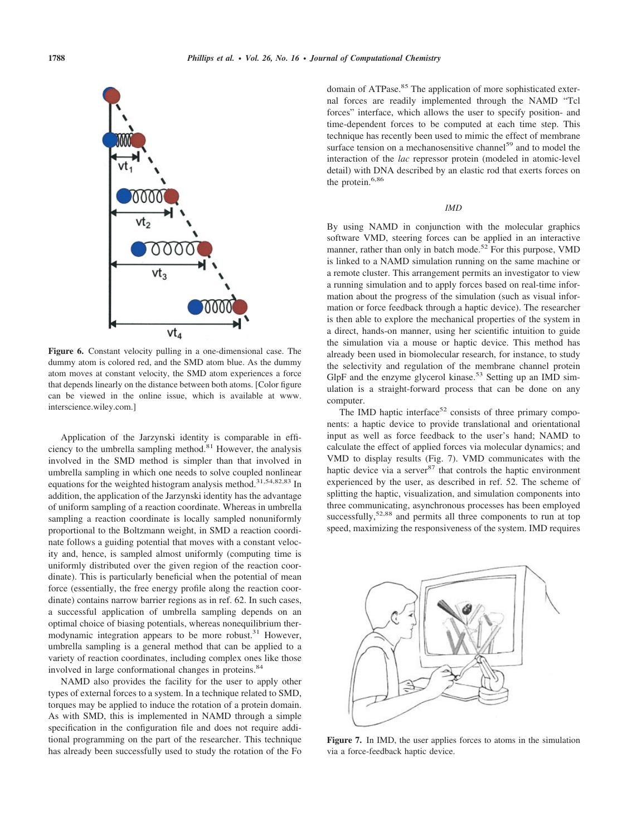

**Figure 6.** Constant velocity pulling in a one-dimensional case. The dummy atom is colored red, and the SMD atom blue. As the dummy atom moves at constant velocity, the SMD atom experiences a force that depends linearly on the distance between both atoms. [Color figure can be viewed in the online issue, which is available at www. interscience.wiley.com.]

Application of the Jarzynski identity is comparable in efficiency to the umbrella sampling method. $81$  However, the analysis involved in the SMD method is simpler than that involved in umbrella sampling in which one needs to solve coupled nonlinear equations for the weighted histogram analysis method.<sup>31,54,82,83</sup> In addition, the application of the Jarzynski identity has the advantage of uniform sampling of a reaction coordinate. Whereas in umbrella sampling a reaction coordinate is locally sampled nonuniformly proportional to the Boltzmann weight, in SMD a reaction coordinate follows a guiding potential that moves with a constant velocity and, hence, is sampled almost uniformly (computing time is uniformly distributed over the given region of the reaction coordinate). This is particularly beneficial when the potential of mean force (essentially, the free energy profile along the reaction coordinate) contains narrow barrier regions as in ref. 62. In such cases, a successful application of umbrella sampling depends on an optimal choice of biasing potentials, whereas nonequilibrium thermodynamic integration appears to be more robust.<sup>31</sup> However, umbrella sampling is a general method that can be applied to a variety of reaction coordinates, including complex ones like those involved in large conformational changes in proteins.<sup>84</sup>

NAMD also provides the facility for the user to apply other types of external forces to a system. In a technique related to SMD, torques may be applied to induce the rotation of a protein domain. As with SMD, this is implemented in NAMD through a simple specification in the configuration file and does not require additional programming on the part of the researcher. This technique has already been successfully used to study the rotation of the Fo domain of ATPase.<sup>85</sup> The application of more sophisticated external forces are readily implemented through the NAMD "Tcl forces" interface, which allows the user to specify position- and time-dependent forces to be computed at each time step. This technique has recently been used to mimic the effect of membrane surface tension on a mechanosensitive channel<sup>59</sup> and to model the interaction of the *lac* repressor protein (modeled in atomic-level detail) with DNA described by an elastic rod that exerts forces on the protein.<sup>6,86</sup>

### *IMD*

By using NAMD in conjunction with the molecular graphics software VMD, steering forces can be applied in an interactive manner, rather than only in batch mode.<sup>52</sup> For this purpose, VMD is linked to a NAMD simulation running on the same machine or a remote cluster. This arrangement permits an investigator to view a running simulation and to apply forces based on real-time information about the progress of the simulation (such as visual information or force feedback through a haptic device). The researcher is then able to explore the mechanical properties of the system in a direct, hands-on manner, using her scientific intuition to guide the simulation via a mouse or haptic device. This method has already been used in biomolecular research, for instance, to study the selectivity and regulation of the membrane channel protein GlpF and the enzyme glycerol kinase.<sup>53</sup> Setting up an IMD simulation is a straight-forward process that can be done on any computer.

The IMD haptic interface<sup>52</sup> consists of three primary components: a haptic device to provide translational and orientational input as well as force feedback to the user's hand; NAMD to calculate the effect of applied forces via molecular dynamics; and VMD to display results (Fig. 7). VMD communicates with the haptic device via a server $87$  that controls the haptic environment experienced by the user, as described in ref. 52. The scheme of splitting the haptic, visualization, and simulation components into three communicating, asynchronous processes has been employed successfully,<sup>52,88</sup> and permits all three components to run at top speed, maximizing the responsiveness of the system. IMD requires



**Figure 7.** In IMD, the user applies forces to atoms in the simulation via a force-feedback haptic device.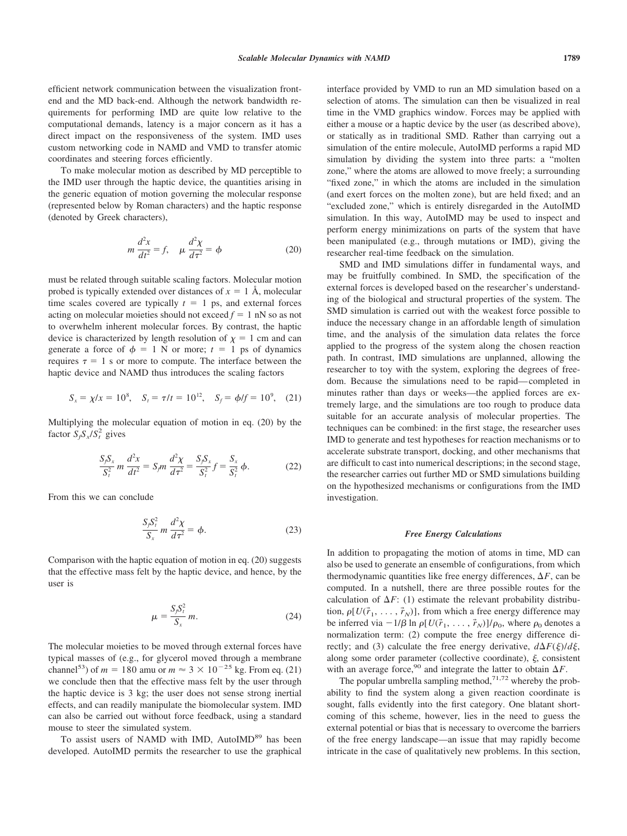efficient network communication between the visualization frontend and the MD back-end. Although the network bandwidth requirements for performing IMD are quite low relative to the computational demands, latency is a major concern as it has a direct impact on the responsiveness of the system. IMD uses custom networking code in NAMD and VMD to transfer atomic coordinates and steering forces efficiently.

To make molecular motion as described by MD perceptible to the IMD user through the haptic device, the quantities arising in the generic equation of motion governing the molecular response (represented below by Roman characters) and the haptic response (denoted by Greek characters),

$$
m\frac{d^2x}{dt^2} = f, \quad \mu\frac{d^2\chi}{d\tau^2} = \phi \tag{20}
$$

must be related through suitable scaling factors. Molecular motion probed is typically extended over distances of  $x = 1$  Å, molecular time scales covered are typically  $t = 1$  ps, and external forces acting on molecular moieties should not exceed  $f = 1$  nN so as not to overwhelm inherent molecular forces. By contrast, the haptic device is characterized by length resolution of  $\chi = 1$  cm and can generate a force of  $\phi = 1$  N or more;  $t = 1$  ps of dynamics requires  $\tau = 1$  s or more to compute. The interface between the haptic device and NAMD thus introduces the scaling factors

$$
S_x = \chi/x = 10^8, \quad S_t = \tau/t = 10^{12}, \quad S_f = \phi/f = 10^9, \quad (21)
$$

Multiplying the molecular equation of motion in eq. (20) by the factor  $S_f S_x / S_t^2$  gives

$$
\frac{S_f S_x}{S_t^2} m \frac{d^2 x}{dt^2} = S_f m \frac{d^2 \chi}{d \tau^2} = \frac{S_f S_x}{S_t^2} f = \frac{S_x}{S_t^2} \phi.
$$
 (22)

From this we can conclude

$$
\frac{S_f S_t^2}{S_x} m \frac{d^2 \chi}{d\tau^2} = \phi.
$$
 (23)

Comparison with the haptic equation of motion in eq. (20) suggests that the effective mass felt by the haptic device, and hence, by the user is

$$
\mu = \frac{S_f S_i^2}{S_x} m. \tag{24}
$$

The molecular moieties to be moved through external forces have typical masses of (e.g., for glycerol moved through a membrane channel<sup>53</sup>) of  $m = 180$  amu or  $m \approx 3 \times 10^{-25}$  kg. From eq. (21) we conclude then that the effective mass felt by the user through the haptic device is 3 kg; the user does not sense strong inertial effects, and can readily manipulate the biomolecular system. IMD can also be carried out without force feedback, using a standard mouse to steer the simulated system.

To assist users of NAMD with IMD, AutoIMD<sup>89</sup> has been developed. AutoIMD permits the researcher to use the graphical interface provided by VMD to run an MD simulation based on a selection of atoms. The simulation can then be visualized in real time in the VMD graphics window. Forces may be applied with either a mouse or a haptic device by the user (as described above), or statically as in traditional SMD. Rather than carrying out a simulation of the entire molecule, AutoIMD performs a rapid MD simulation by dividing the system into three parts: a "molten zone," where the atoms are allowed to move freely; a surrounding "fixed zone," in which the atoms are included in the simulation (and exert forces on the molten zone), but are held fixed; and an "excluded zone," which is entirely disregarded in the AutoIMD simulation. In this way, AutoIMD may be used to inspect and perform energy minimizations on parts of the system that have been manipulated (e.g., through mutations or IMD), giving the researcher real-time feedback on the simulation.

SMD and IMD simulations differ in fundamental ways, and may be fruitfully combined. In SMD, the specification of the external forces is developed based on the researcher's understanding of the biological and structural properties of the system. The SMD simulation is carried out with the weakest force possible to induce the necessary change in an affordable length of simulation time, and the analysis of the simulation data relates the force applied to the progress of the system along the chosen reaction path. In contrast, IMD simulations are unplanned, allowing the researcher to toy with the system, exploring the degrees of freedom. Because the simulations need to be rapid— completed in minutes rather than days or weeks—the applied forces are extremely large, and the simulations are too rough to produce data suitable for an accurate analysis of molecular properties. The techniques can be combined: in the first stage, the researcher uses IMD to generate and test hypotheses for reaction mechanisms or to accelerate substrate transport, docking, and other mechanisms that are difficult to cast into numerical descriptions; in the second stage, the researcher carries out further MD or SMD simulations building on the hypothesized mechanisms or configurations from the IMD investigation.

#### *Free Energy Calculations*

In addition to propagating the motion of atoms in time, MD can also be used to generate an ensemble of configurations, from which thermodynamic quantities like free energy differences,  $\Delta F$ , can be computed. In a nutshell, there are three possible routes for the calculation of  $\Delta F$ : (1) estimate the relevant probability distribution,  $\rho[U(\vec{r}_1,\ldots,\vec{r}_N)]$ , from which a free energy difference may be inferred via  $-1/\beta \ln \rho [U(\vec{r}_1, \ldots, \vec{r}_N)]/\rho_0$ , where  $\rho_0$  denotes a normalization term: (2) compute the free energy difference directly; and (3) calculate the free energy derivative,  $d\Delta F(\xi)/d\xi$ , along some order parameter (collective coordinate),  $\xi$ , consistent with an average force,<sup>90</sup> and integrate the latter to obtain  $\Delta F$ .

The popular umbrella sampling method, $7^{1,72}$  whereby the probability to find the system along a given reaction coordinate is sought, falls evidently into the first category. One blatant shortcoming of this scheme, however, lies in the need to guess the external potential or bias that is necessary to overcome the barriers of the free energy landscape—an issue that may rapidly become intricate in the case of qualitatively new problems. In this section,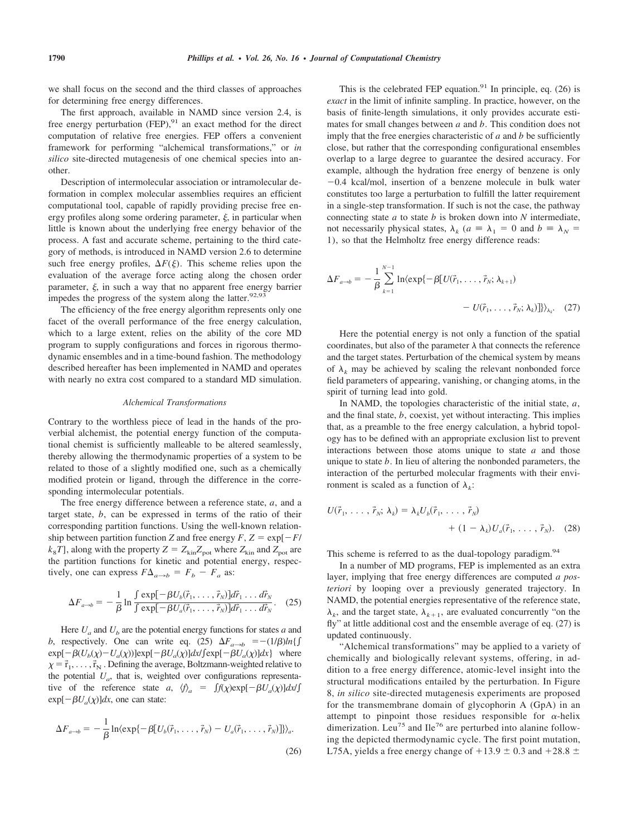we shall focus on the second and the third classes of approaches for determining free energy differences.

The first approach, available in NAMD since version 2.4, is free energy perturbation  $(FEP)$ ,<sup>91</sup> an exact method for the direct computation of relative free energies. FEP offers a convenient framework for performing "alchemical transformations," or *in silico* site-directed mutagenesis of one chemical species into another.

Description of intermolecular association or intramolecular deformation in complex molecular assemblies requires an efficient computational tool, capable of rapidly providing precise free energy profiles along some ordering parameter,  $\xi$ , in particular when little is known about the underlying free energy behavior of the process. A fast and accurate scheme, pertaining to the third category of methods, is introduced in NAMD version 2.6 to determine such free energy profiles,  $\Delta F(\xi)$ . This scheme relies upon the evaluation of the average force acting along the chosen order parameter,  $\xi$ , in such a way that no apparent free energy barrier impedes the progress of the system along the latter.  $92,93$ 

The efficiency of the free energy algorithm represents only one facet of the overall performance of the free energy calculation, which to a large extent, relies on the ability of the core MD program to supply configurations and forces in rigorous thermodynamic ensembles and in a time-bound fashion. The methodology described hereafter has been implemented in NAMD and operates with nearly no extra cost compared to a standard MD simulation.

#### *Alchemical Transformations*

Contrary to the worthless piece of lead in the hands of the proverbial alchemist, the potential energy function of the computational chemist is sufficiently malleable to be altered seamlessly, thereby allowing the thermodynamic properties of a system to be related to those of a slightly modified one, such as a chemically modified protein or ligand, through the difference in the corresponding intermolecular potentials.

The free energy difference between a reference state, *a*, and a target state, *b*, can be expressed in terms of the ratio of their corresponding partition functions. Using the well-known relationship between partition function *Z* and free energy  $F$ ,  $Z = \exp[-F/T]$  $k_8 T$ ], along with the property  $Z = Z_{kin} Z_{pot}$  where  $Z_{kin}$  and  $Z_{pot}$  are the partition functions for kinetic and potential energy, respectively, one can express  $F\Delta_{a\rightarrow b} = F_b - F_a$  as:

$$
\Delta F_{a\to b} = -\frac{1}{\beta} \ln \frac{\int \exp[-\beta U_b(\vec{r}_1, \dots, \vec{r}_N)] d\vec{r}_1 \dots d\vec{r}_N}{\int \exp[-\beta U_a(\vec{r}_1, \dots, \vec{r}_N)] d\vec{r}_1 \dots d\vec{r}_N}.
$$
 (25)

Here  $U_a$  and  $U_b$  are the potential energy functions for states  $a$  and *b*, respectively. One can write eq. (25)  $\Delta F_{a\rightarrow b} = -(1/\beta)ln{\{\int$  $\exp[-\beta(U_b(\chi)-U_a(\chi))]exp[-\beta U_a(\chi)]dx/\int exp[-\beta U_a(\chi)]dx$ } where  $\chi = \vec{r}_1, \ldots, \vec{r}_N$ . Defining the average, Boltzmann-weighted relative to the potential  $U_a$ , that is, weighted over configurations representative of the reference state *a*,  $\langle f \rangle_a = \int f(\chi) \exp[-\beta U_a(\chi)]d\chi f$  $\exp[-\beta U_a(\chi)]dx$ , one can state:

$$
\Delta F_{a\to b} = -\frac{1}{\beta} \ln \langle \exp\{-\beta [U_b(\vec{r}_1, \ldots, \vec{r}_N) - U_a(\vec{r}_1, \ldots, \vec{r}_N)] \} \rangle_a.
$$
\n(26)

This is the celebrated FEP equation.<sup>91</sup> In principle, eq.  $(26)$  is *exact* in the limit of infinite sampling. In practice, however, on the basis of finite-length simulations, it only provides accurate estimates for small changes between *a* and *b*. This condition does not imply that the free energies characteristic of *a* and *b* be sufficiently close, but rather that the corresponding configurational ensembles overlap to a large degree to guarantee the desired accuracy. For example, although the hydration free energy of benzene is only -0.4 kcal/mol, insertion of a benzene molecule in bulk water constitutes too large a perturbation to fulfill the latter requirement in a single-step transformation. If such is not the case, the pathway connecting state *a* to state *b* is broken down into *N* intermediate, not necessarily physical states,  $\lambda_k$  ( $a \equiv \lambda_1 = 0$  and  $b \equiv \lambda_N =$ 1), so that the Helmholtz free energy difference reads:

$$
\Delta F_{a\to b} = -\frac{1}{\beta} \sum_{k=1}^{N-1} \ln \langle \exp \{-\beta [U(\vec{r}_1, \dots, \vec{r}_N; \lambda_{k+1}) - U(\vec{r}_1, \dots, \vec{r}_N; \lambda_k)] \} \rangle_{\lambda_k}.
$$
 (27)

Here the potential energy is not only a function of the spatial coordinates, but also of the parameter  $\lambda$  that connects the reference and the target states. Perturbation of the chemical system by means of  $\lambda_k$  may be achieved by scaling the relevant nonbonded force field parameters of appearing, vanishing, or changing atoms, in the spirit of turning lead into gold.

In NAMD, the topologies characteristic of the initial state, *a*, and the final state, *b*, coexist, yet without interacting. This implies that, as a preamble to the free energy calculation, a hybrid topology has to be defined with an appropriate exclusion list to prevent interactions between those atoms unique to state *a* and those unique to state *b*. In lieu of altering the nonbonded parameters, the interaction of the perturbed molecular fragments with their environment is scaled as a function of  $\lambda_k$ :

$$
U(\vec{r}_1, \ldots, \vec{r}_N; \lambda_k) = \lambda_k U_b(\vec{r}_1, \ldots, \vec{r}_N)
$$
  
+ 
$$
(1 - \lambda_k) U_a(\vec{r}_1, \ldots, \vec{r}_N).
$$
 (28)

This scheme is referred to as the dual-topology paradigm.<sup>94</sup>

In a number of MD programs, FEP is implemented as an extra layer, implying that free energy differences are computed *a posteriori* by looping over a previously generated trajectory. In NAMD, the potential energies representative of the reference state,  $\lambda_k$ , and the target state,  $\lambda_{k+1}$ , are evaluated concurrently "on the fly" at little additional cost and the ensemble average of eq. (27) is updated continuously.

"Alchemical transformations" may be applied to a variety of chemically and biologically relevant systems, offering, in addition to a free energy difference, atomic-level insight into the structural modifications entailed by the perturbation. In Figure 8, *in silico* site-directed mutagenesis experiments are proposed for the transmembrane domain of glycophorin A (GpA) in an attempt to pinpoint those residues responsible for  $\alpha$ -helix dimerization. Leu<sup>75</sup> and  $\text{I} \text{I} e^{76}$  are perturbed into alanine following the depicted thermodynamic cycle. The first point mutation, L75A, yields a free energy change of  $+13.9 \pm 0.3$  and  $+28.8 \pm 0.3$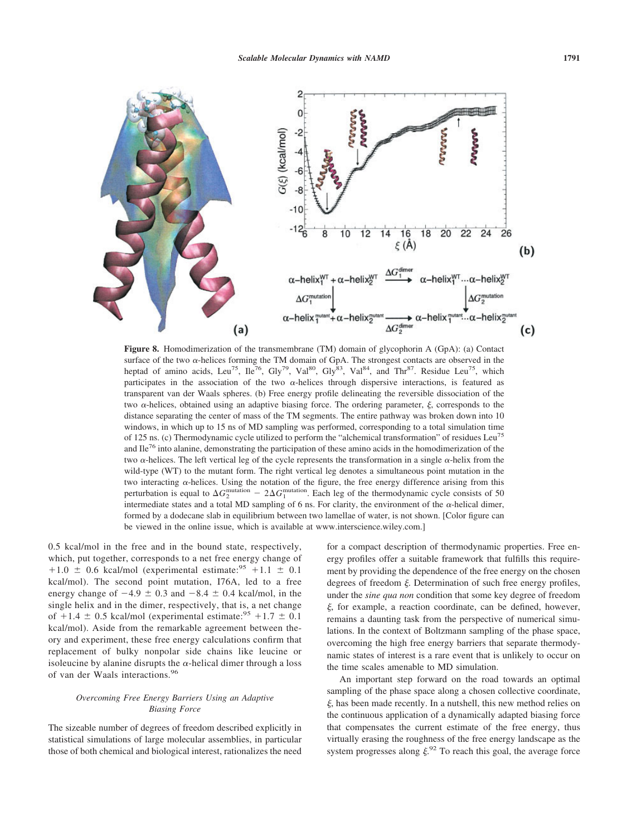

**Figure 8.** Homodimerization of the transmembrane (TM) domain of glycophorin A (GpA): (a) Contact surface of the two  $\alpha$ -helices forming the TM domain of GpA. The strongest contacts are observed in the heptad of amino acids, Leu<sup>75</sup>, Ile<sup>76</sup>, Gly<sup>79</sup>, Val<sup>80</sup>, Gly<sup>83</sup>, Val<sup>84</sup>, and Thr<sup>87</sup>. Residue Leu<sup>75</sup>, which participates in the association of the two  $\alpha$ -helices through dispersive interactions, is featured as transparent van der Waals spheres. (b) Free energy profile delineating the reversible dissociation of the two  $\alpha$ -helices, obtained using an adaptive biasing force. The ordering parameter,  $\xi$ , corresponds to the distance separating the center of mass of the TM segments. The entire pathway was broken down into 10 windows, in which up to 15 ns of MD sampling was performed, corresponding to a total simulation time of 125 ns. (c) Thermodynamic cycle utilized to perform the "alchemical transformation" of residues Leu<sup>75</sup> and  $I \text{Re}^{76}$  into alanine, demonstrating the participation of these amino acids in the homodimerization of the two  $\alpha$ -helices. The left vertical leg of the cycle represents the transformation in a single  $\alpha$ -helix from the wild-type (WT) to the mutant form. The right vertical leg denotes a simultaneous point mutation in the two interacting  $\alpha$ -helices. Using the notation of the figure, the free energy difference arising from this perturbation is equal to  $\Delta G_2^{\text{mutation}} - 2\Delta G_1^{\text{mutation}}$ . Each leg of the thermodynamic cycle consists of 50 intermediate states and a total MD sampling of 6 ns. For clarity, the environment of the  $\alpha$ -helical dimer, formed by a dodecane slab in equilibrium between two lamellae of water, is not shown. [Color figure can be viewed in the online issue, which is available at www.interscience.wiley.com.]

0.5 kcal/mol in the free and in the bound state, respectively, which, put together, corresponds to a net free energy change of  $+1.0 \pm 0.6$  kcal/mol (experimental estimate:<sup>95</sup> +1.1  $\pm$  0.1 kcal/mol). The second point mutation, I76A, led to a free energy change of  $-4.9 \pm 0.3$  and  $-8.4 \pm 0.4$  kcal/mol, in the single helix and in the dimer, respectively, that is, a net change of  $+1.4 \pm 0.5$  kcal/mol (experimental estimate:<sup>95</sup> +1.7  $\pm$  0.1 kcal/mol). Aside from the remarkable agreement between theory and experiment, these free energy calculations confirm that replacement of bulky nonpolar side chains like leucine or isoleucine by alanine disrupts the  $\alpha$ -helical dimer through a loss of van der Waals interactions.<sup>96</sup>

## *Overcoming Free Energy Barriers Using an Adaptive Biasing Force*

The sizeable number of degrees of freedom described explicitly in statistical simulations of large molecular assemblies, in particular those of both chemical and biological interest, rationalizes the need

for a compact description of thermodynamic properties. Free energy profiles offer a suitable framework that fulfills this requirement by providing the dependence of the free energy on the chosen degrees of freedom  $\xi$ . Determination of such free energy profiles, under the *sine qua non* condition that some key degree of freedom  $\xi$ , for example, a reaction coordinate, can be defined, however, remains a daunting task from the perspective of numerical simulations. In the context of Boltzmann sampling of the phase space, overcoming the high free energy barriers that separate thermodynamic states of interest is a rare event that is unlikely to occur on the time scales amenable to MD simulation.

An important step forward on the road towards an optimal sampling of the phase space along a chosen collective coordinate,  $\xi$ , has been made recently. In a nutshell, this new method relies on the continuous application of a dynamically adapted biasing force that compensates the current estimate of the free energy, thus virtually erasing the roughness of the free energy landscape as the system progresses along  $\xi^{92}$  To reach this goal, the average force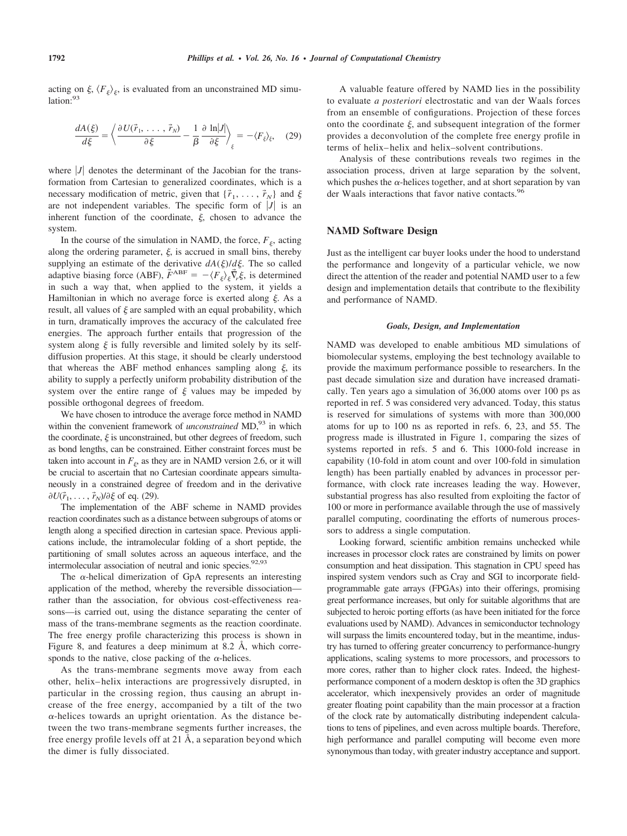acting on  $\xi$ ,  $\langle F_z \rangle$ , is evaluated from an unconstrained MD simulation:<sup>93</sup>

$$
\frac{dA(\xi)}{d\xi} = \left\langle \frac{\partial U(\vec{r}_1, \ldots, \vec{r}_N)}{\partial \xi} - \frac{1}{\beta} \frac{\partial \ln|J|}{\partial \xi} \right\rangle_{\xi} = -\langle F_{\xi} \rangle_{\xi}, \quad (29)
$$

where  $|J|$  denotes the determinant of the Jacobian for the transformation from Cartesian to generalized coordinates, which is a necessary modification of metric, given that  $\{\vec{r}_1, \ldots, \vec{r}_N\}$  and  $\xi$ are not independent variables. The specific form of  $|J|$  is an inherent function of the coordinate,  $\xi$ , chosen to advance the system.

In the course of the simulation in NAMD, the force,  $F_{\varepsilon}$ , acting along the ordering parameter,  $\xi$ , is accrued in small bins, thereby supplying an estimate of the derivative  $dA(\xi)/d\xi$ . The so called adaptive biasing force (ABF),  $\vec{F}^{\text{ABF}} = -\langle F_{\xi} \rangle_{\xi} \vec{\nabla}_{r} \xi$ , is determined in such a way that, when applied to the system, it yields a Hamiltonian in which no average force is exerted along  $\xi$ . As a result, all values of  $\xi$  are sampled with an equal probability, which in turn, dramatically improves the accuracy of the calculated free energies. The approach further entails that progression of the system along  $\xi$  is fully reversible and limited solely by its selfdiffusion properties. At this stage, it should be clearly understood that whereas the ABF method enhances sampling along  $\xi$ , its ability to supply a perfectly uniform probability distribution of the system over the entire range of  $\xi$  values may be impeded by possible orthogonal degrees of freedom.

We have chosen to introduce the average force method in NAMD within the convenient framework of *unconstrained* MD,<sup>93</sup> in which the coordinate,  $\xi$  is unconstrained, but other degrees of freedom, such as bond lengths, can be constrained. Either constraint forces must be taken into account in  $F<sub>g</sub>$ , as they are in NAMD version 2.6, or it will be crucial to ascertain that no Cartesian coordinate appears simultaneously in a constrained degree of freedom and in the derivative  $\partial U(\vec{r}_1,\ldots,\vec{r}_N)/\partial \xi$  of eq. (29).

The implementation of the ABF scheme in NAMD provides reaction coordinates such as a distance between subgroups of atoms or length along a specified direction in cartesian space. Previous applications include, the intramolecular folding of a short peptide, the partitioning of small solutes across an aqueous interface, and the intermolecular association of neutral and ionic species.<sup>92,93</sup>

The  $\alpha$ -helical dimerization of GpA represents an interesting application of the method, whereby the reversible dissociation rather than the association, for obvious cost-effectiveness reasons—is carried out, using the distance separating the center of mass of the trans-membrane segments as the reaction coordinate. The free energy profile characterizing this process is shown in Figure 8, and features a deep minimum at 8.2 Å, which corresponds to the native, close packing of the  $\alpha$ -helices.

As the trans-membrane segments move away from each other, helix– helix interactions are progressively disrupted, in particular in the crossing region, thus causing an abrupt increase of the free energy, accompanied by a tilt of the two  $\alpha$ -helices towards an upright orientation. As the distance between the two trans-membrane segments further increases, the free energy profile levels off at 21 Å, a separation beyond which the dimer is fully dissociated.

A valuable feature offered by NAMD lies in the possibility to evaluate *a posteriori* electrostatic and van der Waals forces from an ensemble of configurations. Projection of these forces onto the coordinate  $\xi$ , and subsequent integration of the former provides a deconvolution of the complete free energy profile in terms of helix– helix and helix–solvent contributions.

Analysis of these contributions reveals two regimes in the association process, driven at large separation by the solvent, which pushes the  $\alpha$ -helices together, and at short separation by van der Waals interactions that favor native contacts.<sup>96</sup>

## **NAMD Software Design**

Just as the intelligent car buyer looks under the hood to understand the performance and longevity of a particular vehicle, we now direct the attention of the reader and potential NAMD user to a few design and implementation details that contribute to the flexibility and performance of NAMD.

#### *Goals, Design, and Implementation*

NAMD was developed to enable ambitious MD simulations of biomolecular systems, employing the best technology available to provide the maximum performance possible to researchers. In the past decade simulation size and duration have increased dramatically. Ten years ago a simulation of 36,000 atoms over 100 ps as reported in ref. 5 was considered very advanced. Today, this status is reserved for simulations of systems with more than 300,000 atoms for up to 100 ns as reported in refs. 6, 23, and 55. The progress made is illustrated in Figure 1, comparing the sizes of systems reported in refs. 5 and 6. This 1000-fold increase in capability (10-fold in atom count and over 100-fold in simulation length) has been partially enabled by advances in processor performance, with clock rate increases leading the way. However, substantial progress has also resulted from exploiting the factor of 100 or more in performance available through the use of massively parallel computing, coordinating the efforts of numerous processors to address a single computation.

Looking forward, scientific ambition remains unchecked while increases in processor clock rates are constrained by limits on power consumption and heat dissipation. This stagnation in CPU speed has inspired system vendors such as Cray and SGI to incorporate fieldprogrammable gate arrays (FPGAs) into their offerings, promising great performance increases, but only for suitable algorithms that are subjected to heroic porting efforts (as have been initiated for the force evaluations used by NAMD). Advances in semiconductor technology will surpass the limits encountered today, but in the meantime, industry has turned to offering greater concurrency to performance-hungry applications, scaling systems to more processors, and processors to more cores, rather than to higher clock rates. Indeed, the highestperformance component of a modern desktop is often the 3D graphics accelerator, which inexpensively provides an order of magnitude greater floating point capability than the main processor at a fraction of the clock rate by automatically distributing independent calculations to tens of pipelines, and even across multiple boards. Therefore, high performance and parallel computing will become even more synonymous than today, with greater industry acceptance and support.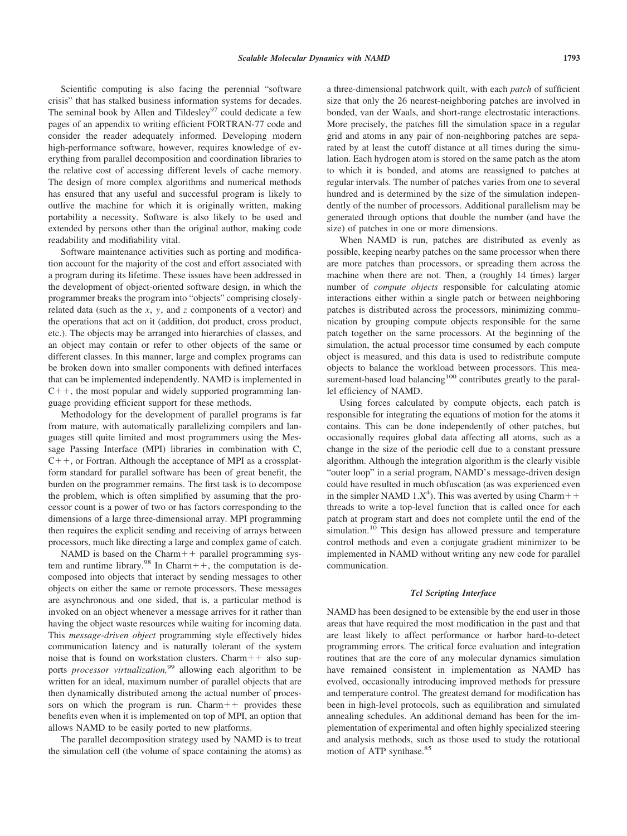Scientific computing is also facing the perennial "software crisis" that has stalked business information systems for decades. The seminal book by Allen and Tildesley<sup>97</sup> could dedicate a few pages of an appendix to writing efficient FORTRAN-77 code and consider the reader adequately informed. Developing modern high-performance software, however, requires knowledge of everything from parallel decomposition and coordination libraries to the relative cost of accessing different levels of cache memory. The design of more complex algorithms and numerical methods has ensured that any useful and successful program is likely to outlive the machine for which it is originally written, making portability a necessity. Software is also likely to be used and extended by persons other than the original author, making code readability and modifiability vital.

Software maintenance activities such as porting and modification account for the majority of the cost and effort associated with a program during its lifetime. These issues have been addressed in the development of object-oriented software design, in which the programmer breaks the program into "objects" comprising closelyrelated data (such as the *x*, *y*, and *z* components of a vector) and the operations that act on it (addition, dot product, cross product, etc.). The objects may be arranged into hierarchies of classes, and an object may contain or refer to other objects of the same or different classes. In this manner, large and complex programs can be broken down into smaller components with defined interfaces that can be implemented independently. NAMD is implemented in  $C++$ , the most popular and widely supported programming language providing efficient support for these methods.

Methodology for the development of parallel programs is far from mature, with automatically parallelizing compilers and languages still quite limited and most programmers using the Message Passing Interface (MPI) libraries in combination with C,  $C++$ , or Fortran. Although the acceptance of MPI as a crossplatform standard for parallel software has been of great benefit, the burden on the programmer remains. The first task is to decompose the problem, which is often simplified by assuming that the processor count is a power of two or has factors corresponding to the dimensions of a large three-dimensional array. MPI programming then requires the explicit sending and receiving of arrays between processors, much like directing a large and complex game of catch.

NAMD is based on the Charm $++$  parallel programming system and runtime library.<sup>98</sup> In Charm $+$ , the computation is decomposed into objects that interact by sending messages to other objects on either the same or remote processors. These messages are asynchronous and one sided, that is, a particular method is invoked on an object whenever a message arrives for it rather than having the object waste resources while waiting for incoming data. This *message-driven object* programming style effectively hides communication latency and is naturally tolerant of the system noise that is found on workstation clusters. Charm $++$  also supports *processor virtualization*,<sup>99</sup> allowing each algorithm to be written for an ideal, maximum number of parallel objects that are then dynamically distributed among the actual number of processors on which the program is run. Charm  $++$  provides these benefits even when it is implemented on top of MPI, an option that allows NAMD to be easily ported to new platforms.

The parallel decomposition strategy used by NAMD is to treat the simulation cell (the volume of space containing the atoms) as

a three-dimensional patchwork quilt, with each *patch* of sufficient size that only the 26 nearest-neighboring patches are involved in bonded, van der Waals, and short-range electrostatic interactions. More precisely, the patches fill the simulation space in a regular grid and atoms in any pair of non-neighboring patches are separated by at least the cutoff distance at all times during the simulation. Each hydrogen atom is stored on the same patch as the atom to which it is bonded, and atoms are reassigned to patches at regular intervals. The number of patches varies from one to several hundred and is determined by the size of the simulation independently of the number of processors. Additional parallelism may be generated through options that double the number (and have the size) of patches in one or more dimensions.

When NAMD is run, patches are distributed as evenly as possible, keeping nearby patches on the same processor when there are more patches than processors, or spreading them across the machine when there are not. Then, a (roughly 14 times) larger number of *compute objects* responsible for calculating atomic interactions either within a single patch or between neighboring patches is distributed across the processors, minimizing communication by grouping compute objects responsible for the same patch together on the same processors. At the beginning of the simulation, the actual processor time consumed by each compute object is measured, and this data is used to redistribute compute objects to balance the workload between processors. This measurement-based load balancing<sup>100</sup> contributes greatly to the parallel efficiency of NAMD.

Using forces calculated by compute objects, each patch is responsible for integrating the equations of motion for the atoms it contains. This can be done independently of other patches, but occasionally requires global data affecting all atoms, such as a change in the size of the periodic cell due to a constant pressure algorithm. Although the integration algorithm is the clearly visible "outer loop" in a serial program, NAMD's message-driven design could have resulted in much obfuscation (as was experienced even in the simpler NAMD  $1.X<sup>4</sup>$ ). This was averted by using Charm++ threads to write a top-level function that is called once for each patch at program start and does not complete until the end of the simulation.<sup>10</sup> This design has allowed pressure and temperature control methods and even a conjugate gradient minimizer to be implemented in NAMD without writing any new code for parallel communication.

#### *Tcl Scripting Interface*

NAMD has been designed to be extensible by the end user in those areas that have required the most modification in the past and that are least likely to affect performance or harbor hard-to-detect programming errors. The critical force evaluation and integration routines that are the core of any molecular dynamics simulation have remained consistent in implementation as NAMD has evolved, occasionally introducing improved methods for pressure and temperature control. The greatest demand for modification has been in high-level protocols, such as equilibration and simulated annealing schedules. An additional demand has been for the implementation of experimental and often highly specialized steering and analysis methods, such as those used to study the rotational motion of ATP synthase.<sup>85</sup>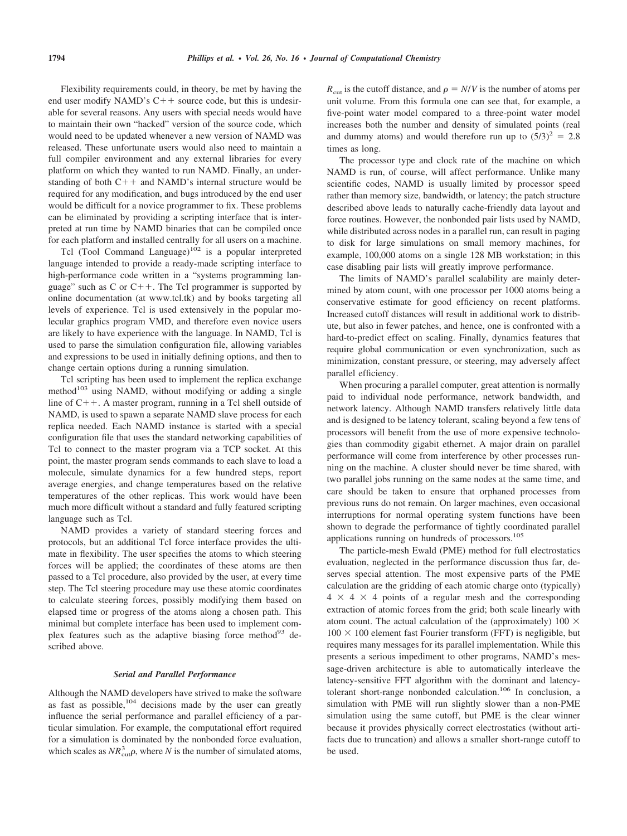Flexibility requirements could, in theory, be met by having the end user modify NAMD's  $C++$  source code, but this is undesirable for several reasons. Any users with special needs would have to maintain their own "hacked" version of the source code, which would need to be updated whenever a new version of NAMD was released. These unfortunate users would also need to maintain a full compiler environment and any external libraries for every platform on which they wanted to run NAMD. Finally, an understanding of both  $C++$  and NAMD's internal structure would be required for any modification, and bugs introduced by the end user would be difficult for a novice programmer to fix. These problems can be eliminated by providing a scripting interface that is interpreted at run time by NAMD binaries that can be compiled once for each platform and installed centrally for all users on a machine.

Tcl (Tool Command Language) $102$  is a popular interpreted language intended to provide a ready-made scripting interface to high-performance code written in a "systems programming language" such as C or  $C_{++}$ . The Tcl programmer is supported by online documentation (at www.tcl.tk) and by books targeting all levels of experience. Tcl is used extensively in the popular molecular graphics program VMD, and therefore even novice users are likely to have experience with the language. In NAMD, Tcl is used to parse the simulation configuration file, allowing variables and expressions to be used in initially defining options, and then to change certain options during a running simulation.

Tcl scripting has been used to implement the replica exchange method<sup>103</sup> using NAMD, without modifying or adding a single line of  $C++$ . A master program, running in a Tcl shell outside of NAMD, is used to spawn a separate NAMD slave process for each replica needed. Each NAMD instance is started with a special configuration file that uses the standard networking capabilities of Tcl to connect to the master program via a TCP socket. At this point, the master program sends commands to each slave to load a molecule, simulate dynamics for a few hundred steps, report average energies, and change temperatures based on the relative temperatures of the other replicas. This work would have been much more difficult without a standard and fully featured scripting language such as Tcl.

NAMD provides a variety of standard steering forces and protocols, but an additional Tcl force interface provides the ultimate in flexibility. The user specifies the atoms to which steering forces will be applied; the coordinates of these atoms are then passed to a Tcl procedure, also provided by the user, at every time step. The Tcl steering procedure may use these atomic coordinates to calculate steering forces, possibly modifying them based on elapsed time or progress of the atoms along a chosen path. This minimal but complete interface has been used to implement complex features such as the adaptive biasing force method<sup>93</sup> described above.

#### *Serial and Parallel Performance*

Although the NAMD developers have strived to make the software as fast as possible,  $104$  decisions made by the user can greatly influence the serial performance and parallel efficiency of a particular simulation. For example, the computational effort required for a simulation is dominated by the nonbonded force evaluation, which scales as  $NR_{\text{cut}}^3$ , where *N* is the number of simulated atoms,

 $R_{\text{cut}}$  is the cutoff distance, and  $\rho = N/V$  is the number of atoms per unit volume. From this formula one can see that, for example, a five-point water model compared to a three-point water model increases both the number and density of simulated points (real and dummy atoms) and would therefore run up to  $(5/3)^2 = 2.8$ times as long.

The processor type and clock rate of the machine on which NAMD is run, of course, will affect performance. Unlike many scientific codes, NAMD is usually limited by processor speed rather than memory size, bandwidth, or latency; the patch structure described above leads to naturally cache-friendly data layout and force routines. However, the nonbonded pair lists used by NAMD, while distributed across nodes in a parallel run, can result in paging to disk for large simulations on small memory machines, for example, 100,000 atoms on a single 128 MB workstation; in this case disabling pair lists will greatly improve performance.

The limits of NAMD's parallel scalability are mainly determined by atom count, with one processor per 1000 atoms being a conservative estimate for good efficiency on recent platforms. Increased cutoff distances will result in additional work to distribute, but also in fewer patches, and hence, one is confronted with a hard-to-predict effect on scaling. Finally, dynamics features that require global communication or even synchronization, such as minimization, constant pressure, or steering, may adversely affect parallel efficiency.

When procuring a parallel computer, great attention is normally paid to individual node performance, network bandwidth, and network latency. Although NAMD transfers relatively little data and is designed to be latency tolerant, scaling beyond a few tens of processors will benefit from the use of more expensive technologies than commodity gigabit ethernet. A major drain on parallel performance will come from interference by other processes running on the machine. A cluster should never be time shared, with two parallel jobs running on the same nodes at the same time, and care should be taken to ensure that orphaned processes from previous runs do not remain. On larger machines, even occasional interruptions for normal operating system functions have been shown to degrade the performance of tightly coordinated parallel applications running on hundreds of processors.<sup>105</sup>

The particle-mesh Ewald (PME) method for full electrostatics evaluation, neglected in the performance discussion thus far, deserves special attention. The most expensive parts of the PME calculation are the gridding of each atomic charge onto (typically)  $4 \times 4 \times 4$  points of a regular mesh and the corresponding extraction of atomic forces from the grid; both scale linearly with atom count. The actual calculation of the (approximately) 100  $\times$  $100 \times 100$  element fast Fourier transform (FFT) is negligible, but requires many messages for its parallel implementation. While this presents a serious impediment to other programs, NAMD's message-driven architecture is able to automatically interleave the latency-sensitive FFT algorithm with the dominant and latencytolerant short-range nonbonded calculation.<sup>106</sup> In conclusion, a simulation with PME will run slightly slower than a non-PME simulation using the same cutoff, but PME is the clear winner because it provides physically correct electrostatics (without artifacts due to truncation) and allows a smaller short-range cutoff to be used.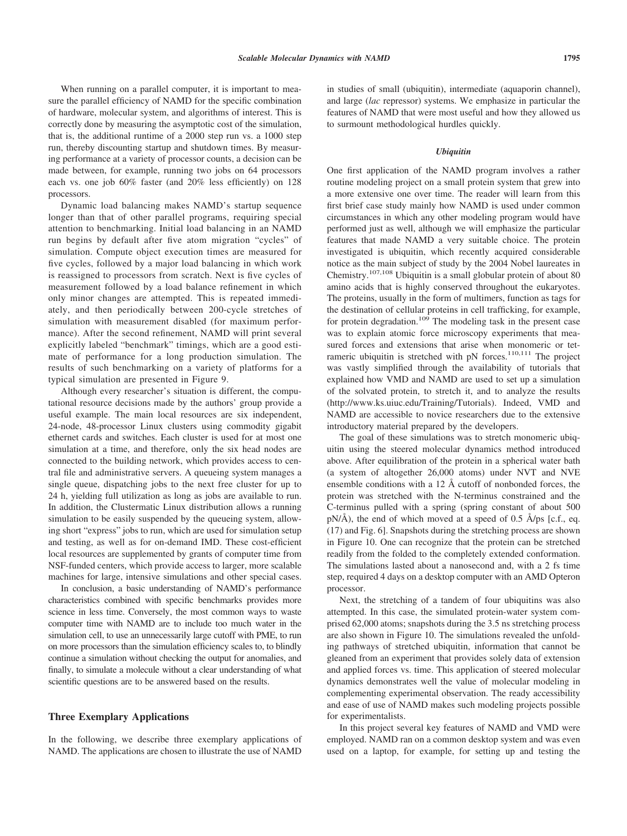When running on a parallel computer, it is important to measure the parallel efficiency of NAMD for the specific combination of hardware, molecular system, and algorithms of interest. This is correctly done by measuring the asymptotic cost of the simulation, that is, the additional runtime of a 2000 step run vs. a 1000 step run, thereby discounting startup and shutdown times. By measuring performance at a variety of processor counts, a decision can be made between, for example, running two jobs on 64 processors each vs. one job 60% faster (and 20% less efficiently) on 128 processors.

Dynamic load balancing makes NAMD's startup sequence longer than that of other parallel programs, requiring special attention to benchmarking. Initial load balancing in an NAMD run begins by default after five atom migration "cycles" of simulation. Compute object execution times are measured for five cycles, followed by a major load balancing in which work is reassigned to processors from scratch. Next is five cycles of measurement followed by a load balance refinement in which only minor changes are attempted. This is repeated immediately, and then periodically between 200-cycle stretches of simulation with measurement disabled (for maximum performance). After the second refinement, NAMD will print several explicitly labeled "benchmark" timings, which are a good estimate of performance for a long production simulation. The results of such benchmarking on a variety of platforms for a typical simulation are presented in Figure 9.

Although every researcher's situation is different, the computational resource decisions made by the authors' group provide a useful example. The main local resources are six independent, 24-node, 48-processor Linux clusters using commodity gigabit ethernet cards and switches. Each cluster is used for at most one simulation at a time, and therefore, only the six head nodes are connected to the building network, which provides access to central file and administrative servers. A queueing system manages a single queue, dispatching jobs to the next free cluster for up to 24 h, yielding full utilization as long as jobs are available to run. In addition, the Clustermatic Linux distribution allows a running simulation to be easily suspended by the queueing system, allowing short "express" jobs to run, which are used for simulation setup and testing, as well as for on-demand IMD. These cost-efficient local resources are supplemented by grants of computer time from NSF-funded centers, which provide access to larger, more scalable machines for large, intensive simulations and other special cases.

In conclusion, a basic understanding of NAMD's performance characteristics combined with specific benchmarks provides more science in less time. Conversely, the most common ways to waste computer time with NAMD are to include too much water in the simulation cell, to use an unnecessarily large cutoff with PME, to run on more processors than the simulation efficiency scales to, to blindly continue a simulation without checking the output for anomalies, and finally, to simulate a molecule without a clear understanding of what scientific questions are to be answered based on the results.

# **Three Exemplary Applications**

In the following, we describe three exemplary applications of NAMD. The applications are chosen to illustrate the use of NAMD

in studies of small (ubiquitin), intermediate (aquaporin channel), and large (*lac* repressor) systems. We emphasize in particular the features of NAMD that were most useful and how they allowed us to surmount methodological hurdles quickly.

#### *Ubiquitin*

One first application of the NAMD program involves a rather routine modeling project on a small protein system that grew into a more extensive one over time. The reader will learn from this first brief case study mainly how NAMD is used under common circumstances in which any other modeling program would have performed just as well, although we will emphasize the particular features that made NAMD a very suitable choice. The protein investigated is ubiquitin, which recently acquired considerable notice as the main subject of study by the 2004 Nobel laureates in Chemistry.107,108 Ubiquitin is a small globular protein of about 80 amino acids that is highly conserved throughout the eukaryotes. The proteins, usually in the form of multimers, function as tags for the destination of cellular proteins in cell trafficking, for example, for protein degradation.109 The modeling task in the present case was to explain atomic force microscopy experiments that measured forces and extensions that arise when monomeric or tetrameric ubiquitin is stretched with  $pN$  forces.<sup>110,111</sup> The project was vastly simplified through the availability of tutorials that explained how VMD and NAMD are used to set up a simulation of the solvated protein, to stretch it, and to analyze the results (http://www.ks.uiuc.edu/Training/Tutorials). Indeed, VMD and NAMD are accessible to novice researchers due to the extensive introductory material prepared by the developers.

The goal of these simulations was to stretch monomeric ubiquitin using the steered molecular dynamics method introduced above. After equilibration of the protein in a spherical water bath (a system of altogether 26,000 atoms) under NVT and NVE ensemble conditions with a 12 Å cutoff of nonbonded forces, the protein was stretched with the N-terminus constrained and the C-terminus pulled with a spring (spring constant of about 500  $pN/\text{\AA}$ ), the end of which moved at a speed of 0.5  $\text{\AA}$ /ps [c.f., eq. (17) and Fig. 6]. Snapshots during the stretching process are shown in Figure 10. One can recognize that the protein can be stretched readily from the folded to the completely extended conformation. The simulations lasted about a nanosecond and, with a 2 fs time step, required 4 days on a desktop computer with an AMD Opteron processor.

Next, the stretching of a tandem of four ubiquitins was also attempted. In this case, the simulated protein-water system comprised 62,000 atoms; snapshots during the 3.5 ns stretching process are also shown in Figure 10. The simulations revealed the unfolding pathways of stretched ubiquitin, information that cannot be gleaned from an experiment that provides solely data of extension and applied forces vs. time. This application of steered molecular dynamics demonstrates well the value of molecular modeling in complementing experimental observation. The ready accessibility and ease of use of NAMD makes such modeling projects possible for experimentalists.

In this project several key features of NAMD and VMD were employed. NAMD ran on a common desktop system and was even used on a laptop, for example, for setting up and testing the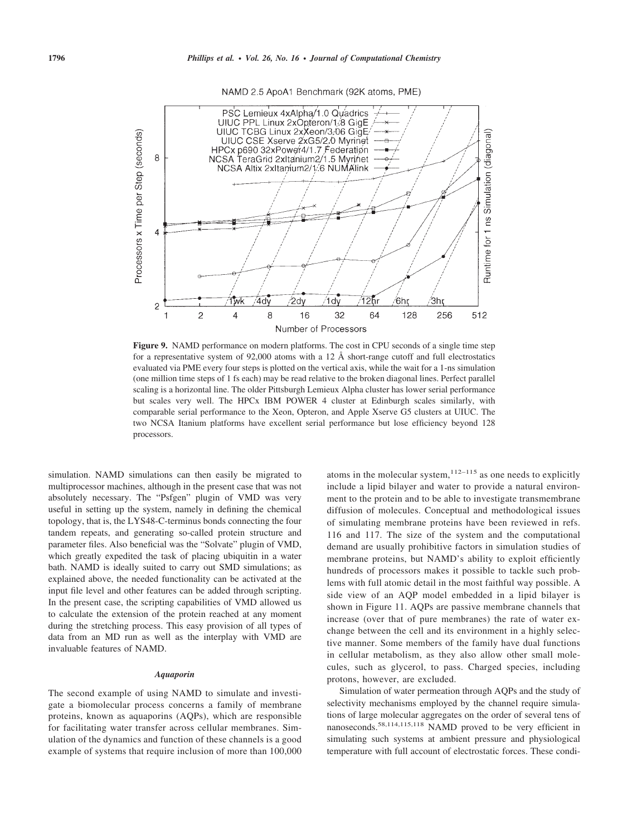



**Figure 9.** NAMD performance on modern platforms. The cost in CPU seconds of a single time step for a representative system of 92,000 atoms with a 12  $\AA$  short-range cutoff and full electrostatics evaluated via PME every four steps is plotted on the vertical axis, while the wait for a 1-ns simulation (one million time steps of 1 fs each) may be read relative to the broken diagonal lines. Perfect parallel scaling is a horizontal line. The older Pittsburgh Lemieux Alpha cluster has lower serial performance but scales very well. The HPCx IBM POWER 4 cluster at Edinburgh scales similarly, with comparable serial performance to the Xeon, Opteron, and Apple Xserve G5 clusters at UIUC. The two NCSA Itanium platforms have excellent serial performance but lose efficiency beyond 128 processors.

simulation. NAMD simulations can then easily be migrated to multiprocessor machines, although in the present case that was not absolutely necessary. The "Psfgen" plugin of VMD was very useful in setting up the system, namely in defining the chemical topology, that is, the LYS48-C-terminus bonds connecting the four tandem repeats, and generating so-called protein structure and parameter files. Also beneficial was the "Solvate" plugin of VMD, which greatly expedited the task of placing ubiquitin in a water bath. NAMD is ideally suited to carry out SMD simulations; as explained above, the needed functionality can be activated at the input file level and other features can be added through scripting. In the present case, the scripting capabilities of VMD allowed us to calculate the extension of the protein reached at any moment during the stretching process. This easy provision of all types of data from an MD run as well as the interplay with VMD are invaluable features of NAMD.

### *Aquaporin*

The second example of using NAMD to simulate and investigate a biomolecular process concerns a family of membrane proteins, known as aquaporins (AQPs), which are responsible for facilitating water transfer across cellular membranes. Simulation of the dynamics and function of these channels is a good example of systems that require inclusion of more than 100,000 atoms in the molecular system,  $12-115$  as one needs to explicitly include a lipid bilayer and water to provide a natural environment to the protein and to be able to investigate transmembrane diffusion of molecules. Conceptual and methodological issues of simulating membrane proteins have been reviewed in refs. 116 and 117. The size of the system and the computational demand are usually prohibitive factors in simulation studies of membrane proteins, but NAMD's ability to exploit efficiently hundreds of processors makes it possible to tackle such problems with full atomic detail in the most faithful way possible. A side view of an AQP model embedded in a lipid bilayer is shown in Figure 11. AQPs are passive membrane channels that increase (over that of pure membranes) the rate of water exchange between the cell and its environment in a highly selective manner. Some members of the family have dual functions in cellular metabolism, as they also allow other small molecules, such as glycerol, to pass. Charged species, including protons, however, are excluded.

Simulation of water permeation through AQPs and the study of selectivity mechanisms employed by the channel require simulations of large molecular aggregates on the order of several tens of nanoseconds.58,114,115,118 NAMD proved to be very efficient in simulating such systems at ambient pressure and physiological temperature with full account of electrostatic forces. These condi-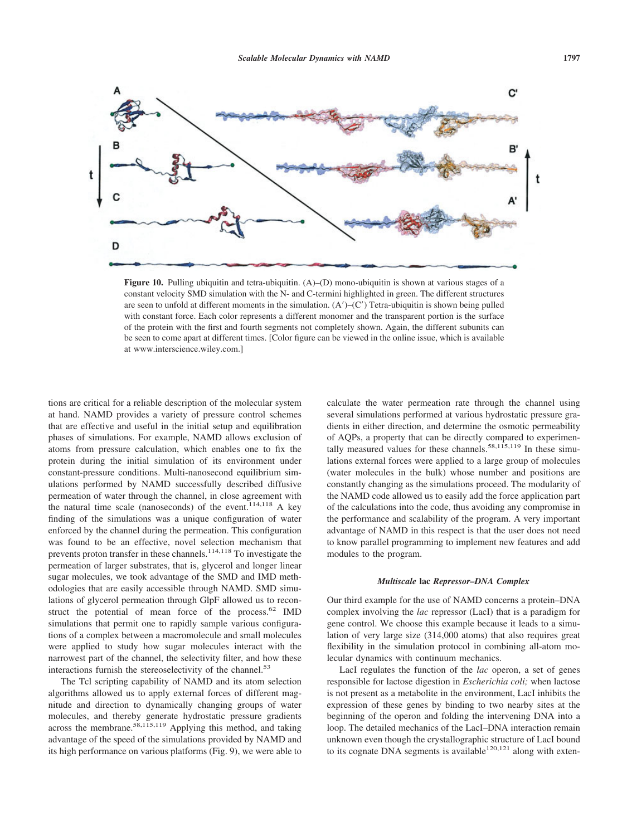

**Figure 10.** Pulling ubiquitin and tetra-ubiquitin. (A)–(D) mono-ubiquitin is shown at various stages of a constant velocity SMD simulation with the N- and C-termini highlighted in green. The different structures are seen to unfold at different moments in the simulation.  $(A')-(C')$  Tetra-ubiquitin is shown being pulled with constant force. Each color represents a different monomer and the transparent portion is the surface of the protein with the first and fourth segments not completely shown. Again, the different subunits can be seen to come apart at different times. [Color figure can be viewed in the online issue, which is available at www.interscience.wiley.com.]

tions are critical for a reliable description of the molecular system at hand. NAMD provides a variety of pressure control schemes that are effective and useful in the initial setup and equilibration phases of simulations. For example, NAMD allows exclusion of atoms from pressure calculation, which enables one to fix the protein during the initial simulation of its environment under constant-pressure conditions. Multi-nanosecond equilibrium simulations performed by NAMD successfully described diffusive permeation of water through the channel, in close agreement with the natural time scale (nanoseconds) of the event.<sup>114,118</sup> A key finding of the simulations was a unique configuration of water enforced by the channel during the permeation. This configuration was found to be an effective, novel selection mechanism that prevents proton transfer in these channels.<sup>114,118</sup> To investigate the permeation of larger substrates, that is, glycerol and longer linear sugar molecules, we took advantage of the SMD and IMD methodologies that are easily accessible through NAMD. SMD simulations of glycerol permeation through GlpF allowed us to reconstruct the potential of mean force of the process. $62$  IMD simulations that permit one to rapidly sample various configurations of a complex between a macromolecule and small molecules were applied to study how sugar molecules interact with the narrowest part of the channel, the selectivity filter, and how these interactions furnish the stereoselectivity of the channel.<sup>53</sup>

The Tcl scripting capability of NAMD and its atom selection algorithms allowed us to apply external forces of different magnitude and direction to dynamically changing groups of water molecules, and thereby generate hydrostatic pressure gradients across the membrane.<sup>58,115,119</sup> Applying this method, and taking advantage of the speed of the simulations provided by NAMD and its high performance on various platforms (Fig. 9), we were able to

calculate the water permeation rate through the channel using several simulations performed at various hydrostatic pressure gradients in either direction, and determine the osmotic permeability of AQPs, a property that can be directly compared to experimentally measured values for these channels.<sup>58,115,119</sup> In these simulations external forces were applied to a large group of molecules (water molecules in the bulk) whose number and positions are constantly changing as the simulations proceed. The modularity of the NAMD code allowed us to easily add the force application part of the calculations into the code, thus avoiding any compromise in the performance and scalability of the program. A very important advantage of NAMD in this respect is that the user does not need to know parallel programming to implement new features and add modules to the program.

#### *Multiscale* **lac** *Repressor–DNA Complex*

Our third example for the use of NAMD concerns a protein–DNA complex involving the *lac* repressor (LacI) that is a paradigm for gene control. We choose this example because it leads to a simulation of very large size (314,000 atoms) that also requires great flexibility in the simulation protocol in combining all-atom molecular dynamics with continuum mechanics.

LacI regulates the function of the *lac* operon, a set of genes responsible for lactose digestion in *Escherichia coli;* when lactose is not present as a metabolite in the environment, LacI inhibits the expression of these genes by binding to two nearby sites at the beginning of the operon and folding the intervening DNA into a loop. The detailed mechanics of the LacI–DNA interaction remain unknown even though the crystallographic structure of LacI bound to its cognate DNA segments is available<sup>120,121</sup> along with exten-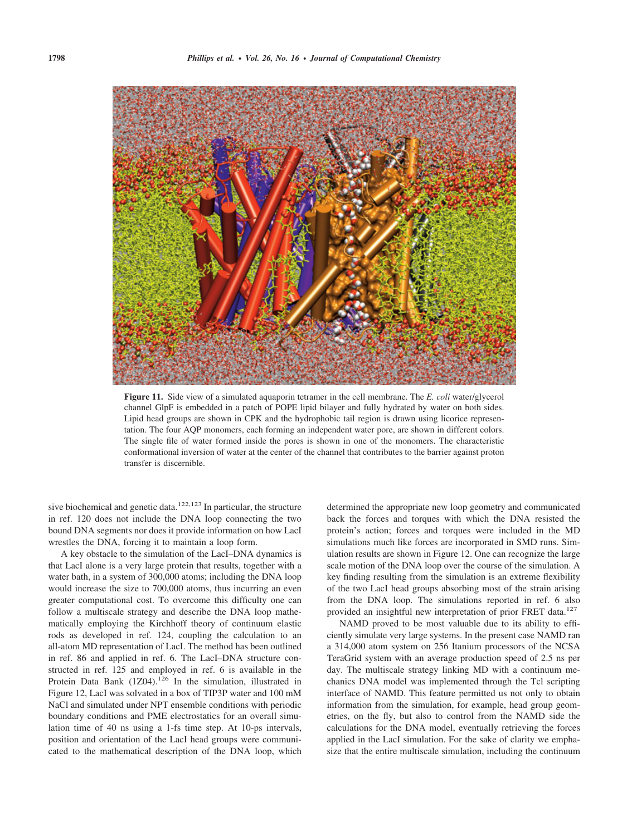

**Figure 11.** Side view of a simulated aquaporin tetramer in the cell membrane. The *E. coli* water/glycerol channel GlpF is embedded in a patch of POPE lipid bilayer and fully hydrated by water on both sides. Lipid head groups are shown in CPK and the hydrophobic tail region is drawn using licorice representation. The four AQP monomers, each forming an independent water pore, are shown in different colors. The single file of water formed inside the pores is shown in one of the monomers. The characteristic conformational inversion of water at the center of the channel that contributes to the barrier against proton transfer is discernible.

sive biochemical and genetic data.<sup>122,123</sup> In particular, the structure in ref. 120 does not include the DNA loop connecting the two bound DNA segments nor does it provide information on how LacI wrestles the DNA, forcing it to maintain a loop form.

A key obstacle to the simulation of the LacI–DNA dynamics is that LacI alone is a very large protein that results, together with a water bath, in a system of 300,000 atoms; including the DNA loop would increase the size to 700,000 atoms, thus incurring an even greater computational cost. To overcome this difficulty one can follow a multiscale strategy and describe the DNA loop mathematically employing the Kirchhoff theory of continuum elastic rods as developed in ref. 124, coupling the calculation to an all-atom MD representation of LacI. The method has been outlined in ref. 86 and applied in ref. 6. The LacI–DNA structure constructed in ref. 125 and employed in ref. 6 is available in the Protein Data Bank  $(1Z04)$ .<sup>126</sup> In the simulation, illustrated in Figure 12, LacI was solvated in a box of TIP3P water and 100 mM NaCl and simulated under NPT ensemble conditions with periodic boundary conditions and PME electrostatics for an overall simulation time of 40 ns using a 1-fs time step. At 10-ps intervals, position and orientation of the LacI head groups were communicated to the mathematical description of the DNA loop, which determined the appropriate new loop geometry and communicated back the forces and torques with which the DNA resisted the protein's action; forces and torques were included in the MD simulations much like forces are incorporated in SMD runs. Simulation results are shown in Figure 12. One can recognize the large scale motion of the DNA loop over the course of the simulation. A key finding resulting from the simulation is an extreme flexibility of the two LacI head groups absorbing most of the strain arising from the DNA loop. The simulations reported in ref. 6 also provided an insightful new interpretation of prior FRET data.127

NAMD proved to be most valuable due to its ability to efficiently simulate very large systems. In the present case NAMD ran a 314,000 atom system on 256 Itanium processors of the NCSA TeraGrid system with an average production speed of 2.5 ns per day. The multiscale strategy linking MD with a continuum mechanics DNA model was implemented through the Tcl scripting interface of NAMD. This feature permitted us not only to obtain information from the simulation, for example, head group geometries, on the fly, but also to control from the NAMD side the calculations for the DNA model, eventually retrieving the forces applied in the LacI simulation. For the sake of clarity we emphasize that the entire multiscale simulation, including the continuum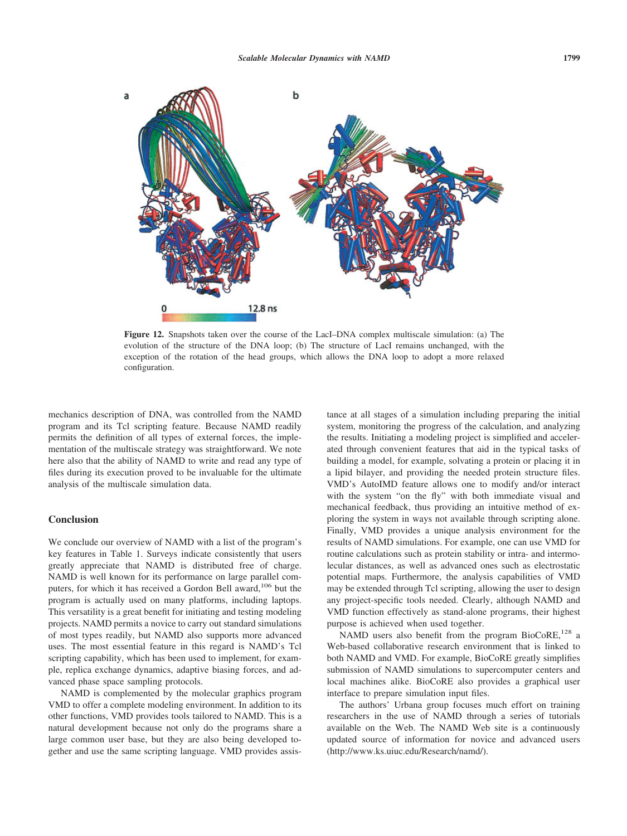

**Figure 12.** Snapshots taken over the course of the LacI–DNA complex multiscale simulation: (a) The evolution of the structure of the DNA loop; (b) The structure of LacI remains unchanged, with the exception of the rotation of the head groups, which allows the DNA loop to adopt a more relaxed configuration.

mechanics description of DNA, was controlled from the NAMD program and its Tcl scripting feature. Because NAMD readily permits the definition of all types of external forces, the implementation of the multiscale strategy was straightforward. We note here also that the ability of NAMD to write and read any type of files during its execution proved to be invaluable for the ultimate analysis of the multiscale simulation data.

# **Conclusion**

We conclude our overview of NAMD with a list of the program's key features in Table 1. Surveys indicate consistently that users greatly appreciate that NAMD is distributed free of charge. NAMD is well known for its performance on large parallel computers, for which it has received a Gordon Bell award,<sup>106</sup> but the program is actually used on many platforms, including laptops. This versatility is a great benefit for initiating and testing modeling projects. NAMD permits a novice to carry out standard simulations of most types readily, but NAMD also supports more advanced uses. The most essential feature in this regard is NAMD's Tcl scripting capability, which has been used to implement, for example, replica exchange dynamics, adaptive biasing forces, and advanced phase space sampling protocols.

NAMD is complemented by the molecular graphics program VMD to offer a complete modeling environment. In addition to its other functions, VMD provides tools tailored to NAMD. This is a natural development because not only do the programs share a large common user base, but they are also being developed together and use the same scripting language. VMD provides assistance at all stages of a simulation including preparing the initial system, monitoring the progress of the calculation, and analyzing the results. Initiating a modeling project is simplified and accelerated through convenient features that aid in the typical tasks of building a model, for example, solvating a protein or placing it in a lipid bilayer, and providing the needed protein structure files. VMD's AutoIMD feature allows one to modify and/or interact with the system "on the fly" with both immediate visual and mechanical feedback, thus providing an intuitive method of exploring the system in ways not available through scripting alone. Finally, VMD provides a unique analysis environment for the results of NAMD simulations. For example, one can use VMD for routine calculations such as protein stability or intra- and intermolecular distances, as well as advanced ones such as electrostatic potential maps. Furthermore, the analysis capabilities of VMD may be extended through Tcl scripting, allowing the user to design any project-specific tools needed. Clearly, although NAMD and VMD function effectively as stand-alone programs, their highest purpose is achieved when used together.

NAMD users also benefit from the program  $BioCoRE<sub>1</sub><sup>128</sup>$  a Web-based collaborative research environment that is linked to both NAMD and VMD. For example, BioCoRE greatly simplifies submission of NAMD simulations to supercomputer centers and local machines alike. BioCoRE also provides a graphical user interface to prepare simulation input files.

The authors' Urbana group focuses much effort on training researchers in the use of NAMD through a series of tutorials available on the Web. The NAMD Web site is a continuously updated source of information for novice and advanced users (http://www.ks.uiuc.edu/Research/namd/).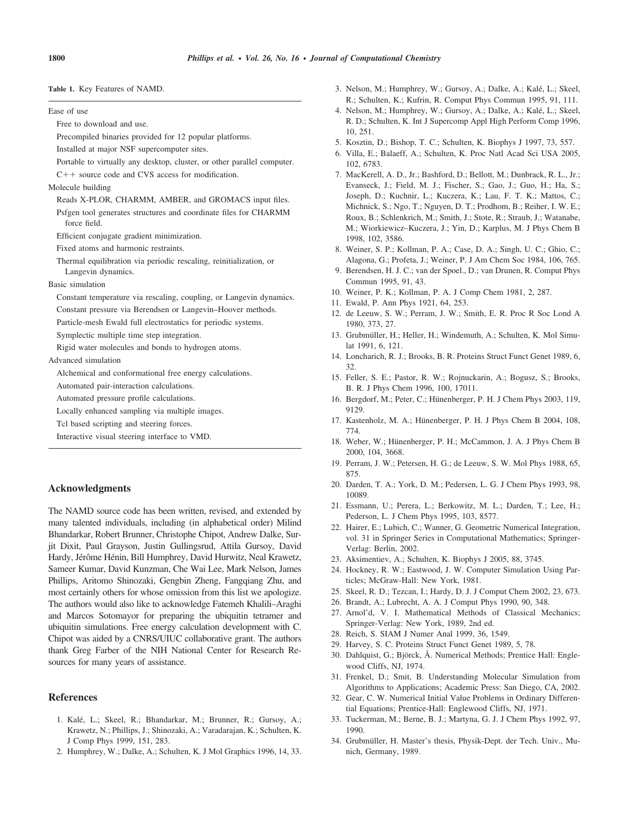**Table 1.** Key Features of NAMD.

| Ease of use                                                                              |
|------------------------------------------------------------------------------------------|
| Free to download and use.                                                                |
| Precompiled binaries provided for 12 popular platforms.                                  |
| Installed at major NSF supercomputer sites.                                              |
| Portable to virtually any desktop, cluster, or other parallel computer.                  |
| $C++$ source code and CVS access for modification.                                       |
| Molecule building                                                                        |
| Reads X-PLOR, CHARMM, AMBER, and GROMACS input files.                                    |
| Psfgen tool generates structures and coordinate files for CHARMM<br>force field.         |
| Efficient conjugate gradient minimization.                                               |
| Fixed atoms and harmonic restraints.                                                     |
| Thermal equilibration via periodic rescaling, reinitialization, or<br>Langevin dynamics. |
| Basic simulation                                                                         |
| Constant temperature via rescaling, coupling, or Langevin dynamics.                      |
| Constant pressure via Berendsen or Langevin–Hoover methods.                              |
| Particle-mesh Ewald full electrostatics for periodic systems.                            |
| Symplectic multiple time step integration.                                               |
| Rigid water molecules and bonds to hydrogen atoms.                                       |
| Advanced simulation                                                                      |
| Alchemical and conformational free energy calculations.                                  |
| Automated pair-interaction calculations.                                                 |
| Automated pressure profile calculations.                                                 |
| Locally enhanced sampling via multiple images.                                           |
| Tcl based scripting and steering forces.                                                 |
| Interactive visual steering interface to VMD.                                            |
|                                                                                          |

# **Acknowledgments**

The NAMD source code has been written, revised, and extended by many talented individuals, including (in alphabetical order) Milind Bhandarkar, Robert Brunner, Christophe Chipot, Andrew Dalke, Surjit Dixit, Paul Grayson, Justin Gullingsrud, Attila Gursoy, David Hardy, Jérôme Hénin, Bill Humphrey, David Hurwitz, Neal Krawetz, Sameer Kumar, David Kunzman, Che Wai Lee, Mark Nelson, James Phillips, Aritomo Shinozaki, Gengbin Zheng, Fangqiang Zhu, and most certainly others for whose omission from this list we apologize. The authors would also like to acknowledge Fatemeh Khalili–Araghi and Marcos Sotomayor for preparing the ubiquitin tetramer and ubiquitin simulations. Free energy calculation development with C. Chipot was aided by a CNRS/UIUC collaborative grant. The authors thank Greg Farber of the NIH National Center for Research Resources for many years of assistance.

# **References**

- 1. Kale´, L.; Skeel, R.; Bhandarkar, M.; Brunner, R.; Gursoy, A.; Krawetz, N.; Phillips, J.; Shinozaki, A.; Varadarajan, K.; Schulten, K. J Comp Phys 1999, 151, 283.
- 2. Humphrey, W.; Dalke, A.; Schulten, K. J Mol Graphics 1996, 14, 33.
- 3. Nelson, M.; Humphrey, W.; Gursoy, A.; Dalke, A.; Kalé, L.; Skeel, R.; Schulten, K.; Kufrin, R. Comput Phys Commun 1995, 91, 111.
- 4. Nelson, M.; Humphrey, W.; Gursoy, A.; Dalke, A.; Kalé, L.; Skeel, R. D.; Schulten, K. Int J Supercomp Appl High Perform Comp 1996, 10, 251.
- 5. Kosztin, D.; Bishop, T. C.; Schulten, K. Biophys J 1997, 73, 557.
- 6. Villa, E.; Balaeff, A.; Schulten, K. Proc Natl Acad Sci USA 2005, 102, 6783.
- 7. MacKerell, A. D., Jr.; Bashford, D.; Bellott, M.; Dunbrack, R. L., Jr.; Evanseck, J.; Field, M. J.; Fischer, S.; Gao, J.; Guo, H.; Ha, S.; Joseph, D.; Kuchnir, L.; Kuczera, K.; Lau, F. T. K.; Mattos, C.; Michnick, S.; Ngo, T.; Nguyen, D. T.; Prodhom, B.; Reiher, I. W. E.; Roux, B.; Schlenkrich, M.; Smith, J.; Stote, R.; Straub, J.; Watanabe, M.; Wiorkiewicz–Kuczera, J.; Yin, D.; Karplus, M. J Phys Chem B 1998, 102, 3586.
- 8. Weiner, S. P.; Kollman, P. A.; Case, D. A.; Singh, U. C.; Ghio, C.; Alagona, G.; Profeta, J.; Weiner, P. J Am Chem Soc 1984, 106, 765.
- 9. Berendsen, H. J. C.; van der Spoel., D.; van Drunen, R. Comput Phys Commun 1995, 91, 43.
- 10. Weiner, P. K.; Kollman, P. A. J Comp Chem 1981, 2, 287.
- 11. Ewald, P. Ann Phys 1921, 64, 253.
- 12. de Leeuw, S. W.; Perram, J. W.; Smith, E. R. Proc R Soc Lond A 1980, 373, 27.
- 13. Grubmüller, H.; Heller, H.; Windemuth, A.; Schulten, K. Mol Simulat 1991, 6, 121.
- 14. Loncharich, R. J.; Brooks, B. R. Proteins Struct Funct Genet 1989, 6, 32.
- 15. Feller, S. E.; Pastor, R. W.; Rojnuckarin, A.; Bogusz, S.; Brooks, B. R. J Phys Chem 1996, 100, 17011.
- 16. Bergdorf, M.; Peter, C.; Hünenberger, P. H. J Chem Phys 2003, 119, 9129.
- 17. Kastenholz, M. A.; Hünenberger, P. H. J Phys Chem B 2004, 108, 774.
- 18. Weber, W.; Hünenberger, P. H.; McCammon, J. A. J Phys Chem B 2000, 104, 3668.
- 19. Perram, J. W.; Petersen, H. G.; de Leeuw, S. W. Mol Phys 1988, 65, 875.
- 20. Darden, T. A.; York, D. M.; Pedersen, L. G. J Chem Phys 1993, 98, 10089.
- 21. Essmann, U.; Perera, L.; Berkowitz, M. L.; Darden, T.; Lee, H.; Pederson, L. J Chem Phys 1995, 103, 8577.
- 22. Hairer, E.; Lubich, C.; Wanner, G. Geometric Numerical Integration, vol. 31 in Springer Series in Computational Mathematics; Springer-Verlag: Berlin, 2002.
- 23. Aksimentiev, A.; Schulten, K. Biophys J 2005, 88, 3745.
- 24. Hockney, R. W.; Eastwood, J. W. Computer Simulation Using Particles; McGraw-Hall: New York, 1981.
- 25. Skeel, R. D.; Tezcan, I.; Hardy, D. J. J Comput Chem 2002, 23, 673.
- 26. Brandt, A.; Lubrecht, A. A. J Comput Phys 1990, 90, 348.
- 27. Arnol'd, V. I. Mathematical Methods of Classical Mechanics; Springer-Verlag: New York, 1989, 2nd ed.
- 28. Reich, S. SIAM J Numer Anal 1999, 36, 1549.
- 29. Harvey, S. C. Proteins Struct Funct Genet 1989, 5, 78.
- 30. Dahlquist, G.; Björck, Å. Numerical Methods; Prentice Hall: Englewood Cliffs, NJ, 1974.
- 31. Frenkel, D.; Smit, B. Understanding Molecular Simulation from Algorithms to Applications; Academic Press: San Diego, CA, 2002.
- 32. Gear, C. W. Numerical Initial Value Problems in Ordinary Differential Equations; Prentice-Hall: Englewood Cliffs, NJ, 1971.
- 33. Tuckerman, M.; Berne, B. J.; Martyna, G. J. J Chem Phys 1992, 97, 1990.
- 34. Grubmüller, H. Master's thesis, Physik-Dept. der Tech. Univ., Munich, Germany, 1989.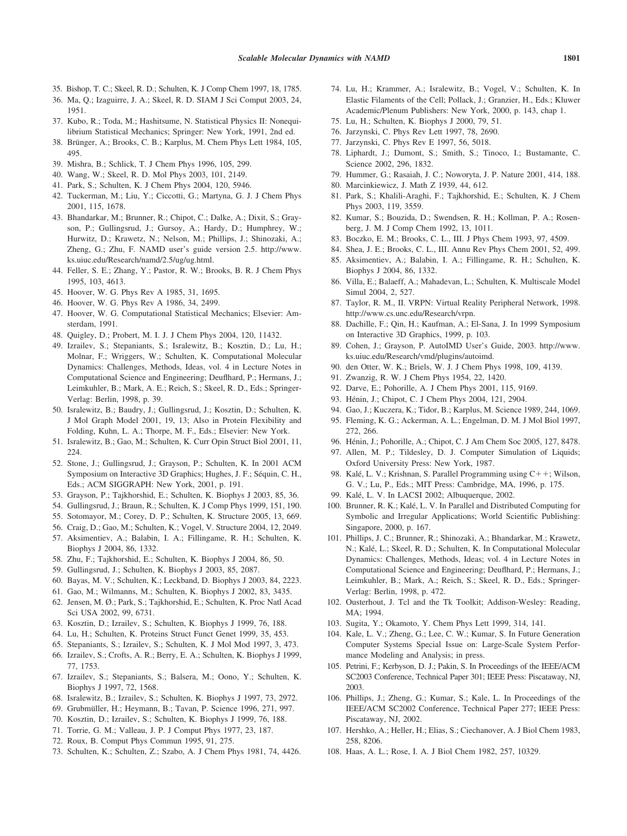- 35. Bishop, T. C.; Skeel, R. D.; Schulten, K. J Comp Chem 1997, 18, 1785.
- 36. Ma, Q.; Izaguirre, J. A.; Skeel, R. D. SIAM J Sci Comput 2003, 24, 1951.
- 37. Kubo, R.; Toda, M.; Hashitsume, N. Statistical Physics II: Nonequilibrium Statistical Mechanics; Springer: New York, 1991, 2nd ed.
- 38. Brünger, A.; Brooks, C. B.; Karplus, M. Chem Phys Lett 1984, 105, 495.
- 39. Mishra, B.; Schlick, T. J Chem Phys 1996, 105, 299.
- 40. Wang, W.; Skeel, R. D. Mol Phys 2003, 101, 2149.
- 41. Park, S.; Schulten, K. J Chem Phys 2004, 120, 5946.
- 42. Tuckerman, M.; Liu, Y.; Ciccotti, G.; Martyna, G. J. J Chem Phys 2001, 115, 1678.
- 43. Bhandarkar, M.; Brunner, R.; Chipot, C.; Dalke, A.; Dixit, S.; Grayson, P.; Gullingsrud, J.; Gursoy, A.; Hardy, D.; Humphrey, W.; Hurwitz, D.; Krawetz, N.; Nelson, M.; Phillips, J.; Shinozaki, A.; Zheng, G.; Zhu, F. NAMD user's guide version 2.5. http://www. ks.uiuc.edu/Research/namd/2.5/ug/ug.html.
- 44. Feller, S. E.; Zhang, Y.; Pastor, R. W.; Brooks, B. R. J Chem Phys 1995, 103, 4613.
- 45. Hoover, W. G. Phys Rev A 1985, 31, 1695.
- 46. Hoover, W. G. Phys Rev A 1986, 34, 2499.
- 47. Hoover, W. G. Computational Statistical Mechanics; Elsevier: Amsterdam, 1991.
- 48. Quigley, D.; Probert, M. I. J. J Chem Phys 2004, 120, 11432.
- 49. Izrailev, S.; Stepaniants, S.; Isralewitz, B.; Kosztin, D.; Lu, H.; Molnar, F.; Wriggers, W.; Schulten, K. Computational Molecular Dynamics: Challenges, Methods, Ideas, vol. 4 in Lecture Notes in Computational Science and Engineering; Deuflhard, P.; Hermans, J.; Leimkuhler, B.; Mark, A. E.; Reich, S.; Skeel, R. D., Eds.; Springer-Verlag: Berlin, 1998, p. 39.
- 50. Isralewitz, B.; Baudry, J.; Gullingsrud, J.; Kosztin, D.; Schulten, K. J Mol Graph Model 2001, 19, 13; Also in Protein Flexibility and Folding, Kuhn, L. A.; Thorpe, M. F., Eds.; Elsevier: New York.
- 51. Isralewitz, B.; Gao, M.; Schulten, K. Curr Opin Struct Biol 2001, 11, 224.
- 52. Stone, J.; Gullingsrud, J.; Grayson, P.; Schulten, K. In 2001 ACM Symposium on Interactive 3D Graphics; Hughes, J. F.; Séquin, C. H., Eds.; ACM SIGGRAPH: New York, 2001, p. 191.
- 53. Grayson, P.; Tajkhorshid, E.; Schulten, K. Biophys J 2003, 85, 36.
- 54. Gullingsrud, J.; Braun, R.; Schulten, K. J Comp Phys 1999, 151, 190.
- 55. Sotomayor, M.; Corey, D. P.; Schulten, K. Structure 2005, 13, 669.
- 56. Craig, D.; Gao, M.; Schulten, K.; Vogel, V. Structure 2004, 12, 2049.
- 57. Aksimentiev, A.; Balabin, I. A.; Fillingame, R. H.; Schulten, K. Biophys J 2004, 86, 1332.
- 58. Zhu, F.; Tajkhorshid, E.; Schulten, K. Biophys J 2004, 86, 50.
- 59. Gullingsrud, J.; Schulten, K. Biophys J 2003, 85, 2087.
- 60. Bayas, M. V.; Schulten, K.; Leckband, D. Biophys J 2003, 84, 2223.
- 61. Gao, M.; Wilmanns, M.; Schulten, K. Biophys J 2002, 83, 3435.
- 62. Jensen, M. Ø.; Park, S.; Tajkhorshid, E.; Schulten, K. Proc Natl Acad Sci USA 2002, 99, 6731.
- 63. Kosztin, D.; Izrailev, S.; Schulten, K. Biophys J 1999, 76, 188.
- 64. Lu, H.; Schulten, K. Proteins Struct Funct Genet 1999, 35, 453.
- 65. Stepaniants, S.; Izrailev, S.; Schulten, K. J Mol Mod 1997, 3, 473.
- 66. Izrailev, S.; Crofts, A. R.; Berry, E. A.; Schulten, K. Biophys J 1999, 77, 1753.
- 67. Izrailev, S.; Stepaniants, S.; Balsera, M.; Oono, Y.; Schulten, K. Biophys J 1997, 72, 1568.
- 68. Isralewitz, B.; Izrailev, S.; Schulten, K. Biophys J 1997, 73, 2972.
- 69. Grubmüller, H.; Heymann, B.; Tavan, P. Science 1996, 271, 997.
- 70. Kosztin, D.; Izrailev, S.; Schulten, K. Biophys J 1999, 76, 188.
- 71. Torrie, G. M.; Valleau, J. P. J Comput Phys 1977, 23, 187.
- 72. Roux, B. Comput Phys Commun 1995, 91, 275.
- 73. Schulten, K.; Schulten, Z.; Szabo, A. J Chem Phys 1981, 74, 4426.
- 74. Lu, H.; Krammer, A.; Isralewitz, B.; Vogel, V.; Schulten, K. In Elastic Filaments of the Cell; Pollack, J.; Granzier, H., Eds.; Kluwer Academic/Plenum Publishers: New York, 2000, p. 143, chap 1.
- 75. Lu, H.; Schulten, K. Biophys J 2000, 79, 51.
- 76. Jarzynski, C. Phys Rev Lett 1997, 78, 2690.
- 77. Jarzynski, C. Phys Rev E 1997, 56, 5018.
- 78. Liphardt, J.; Dumont, S.; Smith, S.; Tinoco, I.; Bustamante, C. Science 2002, 296, 1832.
- 79. Hummer, G.; Rasaiah, J. C.; Noworyta, J. P. Nature 2001, 414, 188.
- 80. Marcinkiewicz, J. Math Z 1939, 44, 612.
- 81. Park, S.; Khalili-Araghi, F.; Tajkhorshid, E.; Schulten, K. J Chem Phys 2003, 119, 3559.
- 82. Kumar, S.; Bouzida, D.; Swendsen, R. H.; Kollman, P. A.; Rosenberg, J. M. J Comp Chem 1992, 13, 1011.
- 83. Boczko, E. M.; Brooks, C. L., III. J Phys Chem 1993, 97, 4509.
- 84. Shea, J. E.; Brooks, C. L., III. Annu Rev Phys Chem 2001, 52, 499.
- 85. Aksimentiev, A.; Balabin, I. A.; Fillingame, R. H.; Schulten, K. Biophys J 2004, 86, 1332.
- 86. Villa, E.; Balaeff, A.; Mahadevan, L.; Schulten, K. Multiscale Model Simul 2004, 2, 527.
- 87. Taylor, R. M., II. VRPN: Virtual Reality Peripheral Network, 1998. http://www.cs.unc.edu/Research/vrpn.
- 88. Dachille, F.; Qin, H.; Kaufman, A.; El-Sana, J. In 1999 Symposium on Interactive 3D Graphics, 1999, p. 103.
- 89. Cohen, J.; Grayson, P. AutoIMD User's Guide, 2003. http://www. ks.uiuc.edu/Research/vmd/plugins/autoimd.
- 90. den Otter, W. K.; Briels, W. J. J Chem Phys 1998, 109, 4139.
- 91. Zwanzig, R. W. J Chem Phys 1954, 22, 1420.
- 92. Darve, E.; Pohorille, A. J Chem Phys 2001, 115, 9169.
- 93. Hénin, J.; Chipot, C. J Chem Phys 2004, 121, 2904.
- 94. Gao, J.; Kuczera, K.; Tidor, B.; Karplus, M. Science 1989, 244, 1069.
- 95. Fleming, K. G.; Ackerman, A. L.; Engelman, D. M. J Mol Biol 1997, 272, 266.
- 96. Hénin, J.; Pohorille, A.; Chipot, C. J Am Chem Soc 2005, 127, 8478.
- 97. Allen, M. P.; Tildesley, D. J. Computer Simulation of Liquids; Oxford University Press: New York, 1987.
- 98. Kalé, L. V.; Krishnan, S. Parallel Programming using  $C++$ ; Wilson, G. V.; Lu, P., Eds.; MIT Press: Cambridge, MA, 1996, p. 175.
- 99. Kalé, L. V. In LACSI 2002; Albuquerque, 2002.
- 100. Brunner, R. K.; Kalé, L. V. In Parallel and Distributed Computing for Symbolic and Irregular Applications; World Scientific Publishing: Singapore, 2000, p. 167.
- 101. Phillips, J. C.; Brunner, R.; Shinozaki, A.; Bhandarkar, M.; Krawetz, N.; Kalé, L.; Skeel, R. D.; Schulten, K. In Computational Molecular Dynamics: Challenges, Methods, Ideas; vol. 4 in Lecture Notes in Computational Science and Engineering; Deuflhard, P.; Hermans, J.; Leimkuhler, B.; Mark, A.; Reich, S.; Skeel, R. D., Eds.; Springer-Verlag: Berlin, 1998, p. 472.
- 102. Ousterhout, J. Tcl and the Tk Toolkit; Addison-Wesley: Reading, MA; 1994.
- 103. Sugita, Y.; Okamoto, Y. Chem Phys Lett 1999, 314, 141.
- 104. Kale, L. V.; Zheng, G.; Lee, C. W.; Kumar, S. In Future Generation Computer Systems Special Issue on: Large-Scale System Performance Modeling and Analysis; in press.
- 105. Petrini, F.; Kerbyson, D. J.; Pakin, S. In Proceedings of the IEEE/ACM SC2003 Conference, Technical Paper 301; IEEE Press: Piscataway, NJ, 2003.
- 106. Phillips, J.; Zheng, G.; Kumar, S.; Kale, L. In Proceedings of the IEEE/ACM SC2002 Conference, Technical Paper 277; IEEE Press: Piscataway, NJ, 2002.
- 107. Hershko, A.; Heller, H.; Elias, S.; Ciechanover, A. J Biol Chem 1983, 258, 8206.
- 108. Haas, A. L.; Rose, I. A. J Biol Chem 1982, 257, 10329.